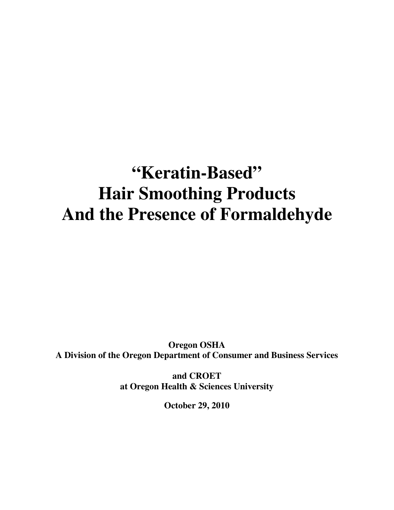# **"Keratin-Based" Hair Smoothing Products And the Presence of Formaldehyde**

**Oregon OSHA A Division of the Oregon Department of Consumer and Business Services** 

> **and CROET at Oregon Health & Sciences University**

> > **October 29, 2010**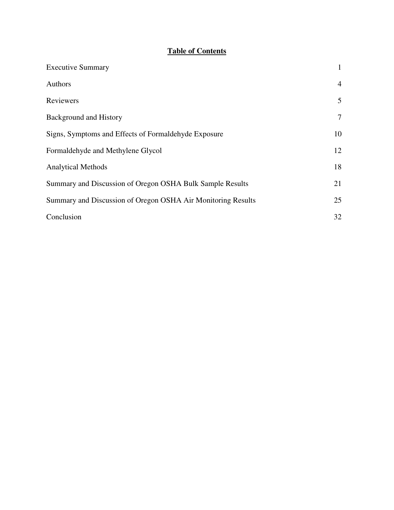# **Table of Contents**

| <b>Executive Summary</b>                                     | $\mathbf{1}$   |
|--------------------------------------------------------------|----------------|
| Authors                                                      | $\overline{4}$ |
| Reviewers                                                    | 5              |
| <b>Background and History</b>                                | $\tau$         |
| Signs, Symptoms and Effects of Formaldehyde Exposure         | 10             |
| Formaldehyde and Methylene Glycol                            | 12             |
| <b>Analytical Methods</b>                                    | 18             |
| Summary and Discussion of Oregon OSHA Bulk Sample Results    | 21             |
| Summary and Discussion of Oregon OSHA Air Monitoring Results | 25             |
| Conclusion                                                   | 32             |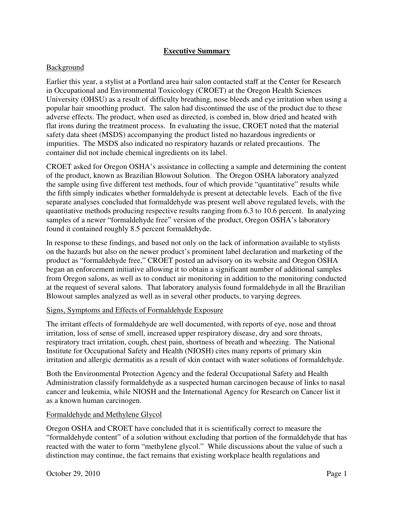## **Executive Summary**

### Background

Earlier this year, a stylist at a Portland area hair salon contacted staff at the Center for Research in Occupational and Environmental Toxicology (CROET) at the Oregon Health Sciences University (OHSU) as a result of difficulty breathing, nose bleeds and eye irritation when using a popular hair smoothing product. The salon had discontinued the use of the product due to these adverse effects. The product, when used as directed, is combed in, blow dried and heated with flat irons during the treatment process. In evaluating the issue, CROET noted that the material safety data sheet (MSDS) accompanying the product listed no hazardous ingredients or impurities. The MSDS also indicated no respiratory hazards or related precautions. The container did not include chemical ingredients on its label.

CROET asked for Oregon OSHA's assistance in collecting a sample and determining the content of the product, known as Brazilian Blowout Solution. The Oregon OSHA laboratory analyzed the sample using five different test methods, four of which provide "quantitative" results while the fifth simply indicates whether formaldehyde is present at detectable levels. Each of the five separate analyses concluded that formaldehyde was present well above regulated levels, with the quantitative methods producing respective results ranging from 6.3 to 10.6 percent. In analyzing samples of a newer "formaldehyde free" version of the product, Oregon OSHA's laboratory found it contained roughly 8.5 percent formaldehyde.

In response to these findings, and based not only on the lack of information available to stylists on the hazards but also on the newer product's prominent label declaration and marketing of the product as "formaldehyde free," CROET posted an advisory on its website and Oregon OSHA began an enforcement initiative allowing it to obtain a significant number of additional samples from Oregon salons, as well as to conduct air monitoring in addition to the monitoring conducted at the request of several salons. That laboratory analysis found formaldehyde in all the Brazilian Blowout samples analyzed as well as in several other products, to varying degrees.

#### Signs, Symptoms and Effects of Formaldehyde Exposure

The irritant effects of formaldehyde are well documented, with reports of eye, nose and throat irritation, loss of sense of smell, increased upper respiratory disease, dry and sore throats, respiratory tract irritation, cough, chest pain, shortness of breath and wheezing. The National Institute for Occupational Safety and Health (NIOSH) cites many reports of primary skin irritation and allergic dermatitis as a result of skin contact with water solutions of formaldehyde.

Both the Environmental Protection Agency and the federal Occupational Safety and Health Administration classify formaldehyde as a suspected human carcinogen because of links to nasal cancer and leukemia, while NIOSH and the International Agency for Research on Cancer list it as a known human carcinogen.

#### Formaldehyde and Methylene Glycol

Oregon OSHA and CROET have concluded that it is scientifically correct to measure the "formaldehyde content" of a solution without excluding that portion of the formaldehyde that has reacted with the water to form "methylene glycol." While discussions about the value of such a distinction may continue, the fact remains that existing workplace health regulations and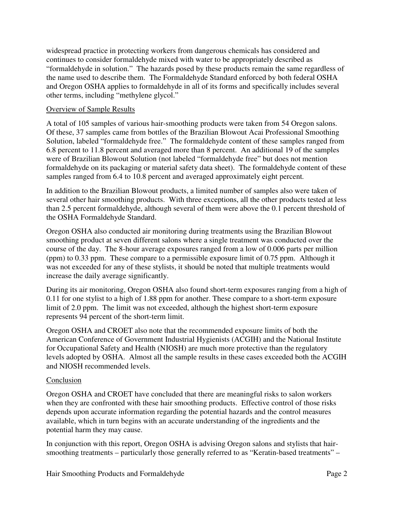widespread practice in protecting workers from dangerous chemicals has considered and continues to consider formaldehyde mixed with water to be appropriately described as "formaldehyde in solution." The hazards posed by these products remain the same regardless of the name used to describe them. The Formaldehyde Standard enforced by both federal OSHA and Oregon OSHA applies to formaldehyde in all of its forms and specifically includes several other terms, including "methylene glycol."

## Overview of Sample Results

A total of 105 samples of various hair-smoothing products were taken from 54 Oregon salons. Of these, 37 samples came from bottles of the Brazilian Blowout Acai Professional Smoothing Solution, labeled "formaldehyde free." The formaldehyde content of these samples ranged from 6.8 percent to 11.8 percent and averaged more than 8 percent. An additional 19 of the samples were of Brazilian Blowout Solution (not labeled "formaldehyde free" but does not mention formaldehyde on its packaging or material safety data sheet). The formaldehyde content of these samples ranged from 6.4 to 10.8 percent and averaged approximately eight percent.

In addition to the Brazilian Blowout products, a limited number of samples also were taken of several other hair smoothing products. With three exceptions, all the other products tested at less than 2.5 percent formaldehyde, although several of them were above the 0.1 percent threshold of the OSHA Formaldehyde Standard.

Oregon OSHA also conducted air monitoring during treatments using the Brazilian Blowout smoothing product at seven different salons where a single treatment was conducted over the course of the day. The 8-hour average exposures ranged from a low of 0.006 parts per million (ppm) to 0.33 ppm. These compare to a permissible exposure limit of 0.75 ppm. Although it was not exceeded for any of these stylists, it should be noted that multiple treatments would increase the daily average significantly.

During its air monitoring, Oregon OSHA also found short-term exposures ranging from a high of 0.11 for one stylist to a high of 1.88 ppm for another. These compare to a short-term exposure limit of 2.0 ppm. The limit was not exceeded, although the highest short-term exposure represents 94 percent of the short-term limit.

Oregon OSHA and CROET also note that the recommended exposure limits of both the American Conference of Government Industrial Hygienists (ACGIH) and the National Institute for Occupational Safety and Health (NIOSH) are much more protective than the regulatory levels adopted by OSHA. Almost all the sample results in these cases exceeded both the ACGIH and NIOSH recommended levels.

#### Conclusion

Oregon OSHA and CROET have concluded that there are meaningful risks to salon workers when they are confronted with these hair smoothing products. Effective control of those risks depends upon accurate information regarding the potential hazards and the control measures available, which in turn begins with an accurate understanding of the ingredients and the potential harm they may cause.

In conjunction with this report, Oregon OSHA is advising Oregon salons and stylists that hairsmoothing treatments – particularly those generally referred to as "Keratin-based treatments" –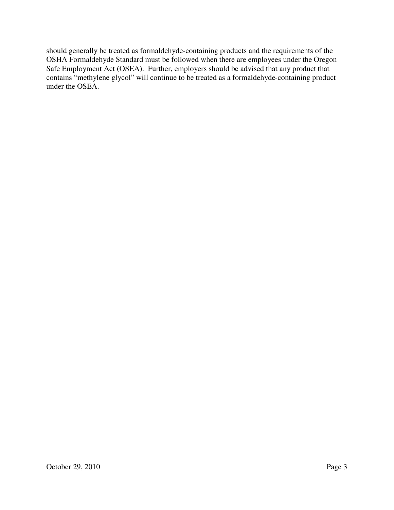should generally be treated as formaldehyde-containing products and the requirements of the OSHA Formaldehyde Standard must be followed when there are employees under the Oregon Safe Employment Act (OSEA). Further, employers should be advised that any product that contains "methylene glycol" will continue to be treated as a formaldehyde-containing product under the OSEA.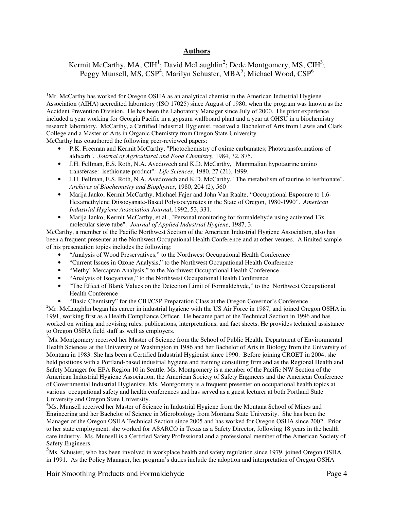#### **Authors**

Kermit McCarthy, MA, CIH<sup>1</sup>; David McLaughlin<sup>2</sup>; Dede Montgomery, MS, CIH<sup>3</sup>; Peggy Munsell, MS, CSP<sup>4</sup>; Marilyn Schuster, MBA<sup>5</sup>; Michael Wood, CSP<sup>6</sup>

• P.K. Freeman and Kermit McCarthy, "Photochemistry of oxime carbamates; Phototransformations of aldicarb". *Journal of Agricultural and Food Chemistry*, 1984, 32, 875.

- J.H. Fellman, E.S. Roth, N.A. Avedovech and K.D. McCarthy, "Mammalian hypotaurine amino transferase: isethionate product". *Life Sciences*, 1980, 27 (21), 1999.
- J.H. Fellman, E.S. Roth, N.A. Avedovech and K.D. McCarthy, "The metabolism of taurine to isethionate". *Archives of Biochemistry and Biophysics*, 1980, 204 (2), 560
- Marija Janko, Kermit McCarthy, Michael Fajer and John Van Raalte, "Occupational Exposure to 1,6- Hexamethylene Diisocyanate-Based Polyisocyanates in the State of Oregon, 1980-1990". *American Industrial Hygiene Association Journal*, 1992, 53, 331.
- Marija Janko, Kermit McCarthy, et al., "Personal monitoring for formaldehyde using activated 13x molecular sieve tube". *Journal of Applied Industrial Hygiene*, 1987, 3.

McCarthy, a member of the Pacific Northwest Section of the American Industrial Hygiene Association, also has been a frequent presenter at the Northwest Occupational Health Conference and at other venues. A limited sample of his presentation topics includes the following:

- "Analysis of Wood Preservatives," to the Northwest Occupational Health Conference
- "Current Issues in Ozone Analysis," to the Northwest Occupational Health Conference
- "Methyl Mercaptan Analysis," to the Northwest Occupational Health Conference
- "Analysis of Isocyanates," to the Northwest Occupational Health Conference
- "The Effect of Blank Values on the Detection Limit of Formaldehyde," to the Northwest Occupational Health Conference
- "Basic Chemistry" for the CIH/CSP Preparation Class at the Oregon Governor's Conference 2

 $2<sup>2</sup>$ Mr. McLaughlin began his career in industrial hygiene with the US Air Force in 1987, and joined Oregon OSHA in 1991, working first as a Health Compliance Officer. He became part of the Technical Section in 1996 and has worked on writing and revising rules, publications, interpretations, and fact sheets. He provides technical assistance to Oregon OSHA field staff as well as employers.

<sup>3</sup>Ms. Montgomery received her Master of Science from the School of Public Health, Department of Environmental Health Sciences at the University of Washington in 1986 and her Bachelor of Arts in Biology from the University of Montana in 1983. She has been a Certified Industrial Hygienist since 1990. Before joining CROET in 2004, she held positions with a Portland-based industrial hygiene and training consulting firm and as the Regional Health and Safety Manager for EPA Region 10 in Seattle. Ms. Montgomery is a member of the Pacific NW Section of the American Industrial Hygiene Association, the American Society of Safety Engineers and the American Conference of Governmental Industrial Hygienists. Ms. Montgomery is a frequent presenter on occupational health topics at various occupational safety and health conferences and has served as a guest lecturer at both Portland State University and Oregon State University.

<sup>4</sup>Ms. Munsell received her Master of Science in Industrial Hygiene from the Montana School of Mines and Engineering and her Bachelor of Science in Microbiology from Montana State University. She has been the Manager of the Oregon OSHA Technical Section since 2005 and has worked for Oregon OSHA since 2002. Prior to her state employment, she worked for ASARCO in Texas as a Safety Director, following 18 years in the health care industry. Ms. Munsell is a Certified Safety Professional and a professional member of the American Society of Safety Engineers.

<sup>5</sup>Ms. Schuster, who has been involved in workplace health and safety regulation since 1979, joined Oregon OSHA in 1991. As the Policy Manager, her program's duties include the adoption and interpretation of Oregon OSHA

Hair Smoothing Products and Formaldehyde **Page 4** Page 4

 $\overline{a}$ 

<sup>&</sup>lt;sup>1</sup>Mr. McCarthy has worked for Oregon OSHA as an analytical chemist in the American Industrial Hygiene Association (AIHA) accredited laboratory (ISO 17025) since August of 1980, when the program was known as the Accident Prevention Division. He has been the Laboratory Manager since July of 2000. His prior experience included a year working for Georgia Pacific in a gypsum wallboard plant and a year at OHSU in a biochemistry research laboratory. McCarthy, a Certified Industrial Hygienist, received a Bachelor of Arts from Lewis and Clark College and a Master of Arts in Organic Chemistry from Oregon State University. McCarthy has coauthored the following peer-reviewed papers: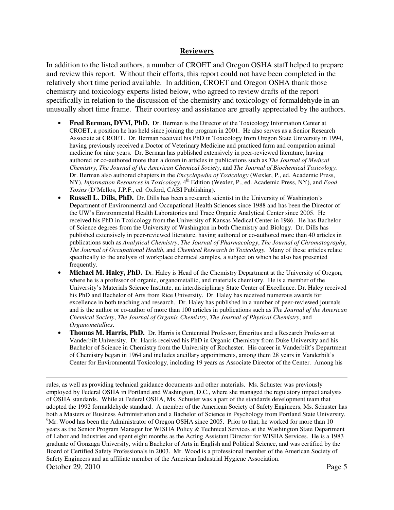#### **Reviewers**

In addition to the listed authors, a number of CROET and Oregon OSHA staff helped to prepare and review this report. Without their efforts, this report could not have been completed in the relatively short time period available. In addition, CROET and Oregon OSHA thank those chemistry and toxicology experts listed below, who agreed to review drafts of the report specifically in relation to the discussion of the chemistry and toxicology of formaldehyde in an unusually short time frame. Their courtesy and assistance are greatly appreciated by the authors.

- **Fred Berman, DVM, PhD.** Dr. Berman is the Director of the Toxicology Information Center at CROET, a position he has held since joining the program in 2001. He also serves as a Senior Research Associate at CROET. Dr. Berman received his PhD in Toxicology from Oregon State University in 1994, having previously received a Doctor of Veterinary Medicine and practiced farm and companion animal medicine for nine years. Dr. Berman has published extensively in peer-reviewed literature, having authored or co-authored more than a dozen in articles in publications such as *The Journal of Medical Chemistry*, *The Journal of the American Chemical Society*, and *The Journal of Biochemical Toxicology.* Dr. Berman also authored chapters in the *Encyclopedia of Toxicology* (Wexler, P., ed. Academic Press, NY), *Information Resources in Toxicology*, 4<sup>th</sup> Edition (Wexler, P., ed. Academic Press, NY), and *Food Toxins* (D'Mellos, J.P.F., ed. Oxford, CABI Publishing).
- **Russell L. Dills, PhD.** Dr. Dills has been a research scientist in the University of Washington's Department of Environmental and Occupational Health Sciences since 1988 and has been the Director of the UW's Environmental Health Laboratories and Trace Organic Analytical Center since 2005. He received his PhD in Toxicology from the University of Kansas Medical Center in 1986. He has Bachelor of Science degrees from the University of Washington in both Chemistry and Biology. Dr. Dills has published extensively in peer-reviewed literature, having authored or co-authored more than 40 articles in publications such as *Analytical Chemistry*, *The Journal of Pharmacology*, *The Journal of Chromatography*, *The Journal of Occupational Health*, and *Chemical Research in Toxicology.* Many of these articles relate specifically to the analysis of workplace chemical samples, a subject on which he also has presented frequently.
- **Michael M. Haley, PhD.** Dr. Haley is Head of the Chemistry Department at the University of Oregon, where he is a professor of organic, organometallic, and materials chemistry. He is a member of the University's Materials Science Institute, an interdisciplinary State Center of Excellence. Dr. Haley received his PhD and Bachelor of Arts from Rice University. Dr. Haley has received numerous awards for excellence in both teaching and research. Dr. Haley has published in a number of peer-reviewed journals and is the author or co-author of more than 100 articles in publications such as *The Journal of the American Chemical Society*, *The Journal of Organic Chemistry*, *The Journal of Physical Chemistry*, and *Organometallics*.
- **Thomas M. Harris, PhD.** Dr. Harris is Centennial Professor, Emeritus and a Research Professor at Vanderbilt University. Dr. Harris received his PhD in Organic Chemistry from Duke University and his Bachelor of Science in Chemistry from the University of Rochester. His career in Vanderbilt's Department of Chemistry began in 1964 and includes ancillary appointments, among them 28 years in Vanderbilt's Center for Environmental Toxicology, including 19 years as Associate Director of the Center. Among his

-

October 29, 2010 Page 5 rules, as well as providing technical guidance documents and other materials. Ms. Schuster was previously employed by Federal OSHA in Portland and Washington, D.C., where she managed the regulatory impact analysis of OSHA standards. While at Federal OSHA, Ms. Schuster was a part of the standards development team that adopted the 1992 formaldehyde standard. A member of the American Society of Safety Engineers, Ms. Schuster has both a Masters of Business Administration and a Bachelor of Science in Psychology from Portland State University. <sup>6</sup>Mr. Wood has been the Administrator of Oregon OSHA since 2005. Prior to that, he worked for more than 10 years as the Senior Program Manager for WISHA Policy & Technical Services at the Washington State Department of Labor and Industries and spent eight months as the Acting Assistant Director for WISHA Services. He is a 1983 graduate of Gonzaga University, with a Bachelor of Arts in English and Political Science, and was certified by the Board of Certified Safety Professionals in 2003. Mr. Wood is a professional member of the American Society of Safety Engineers and an affiliate member of the American Industrial Hygiene Association.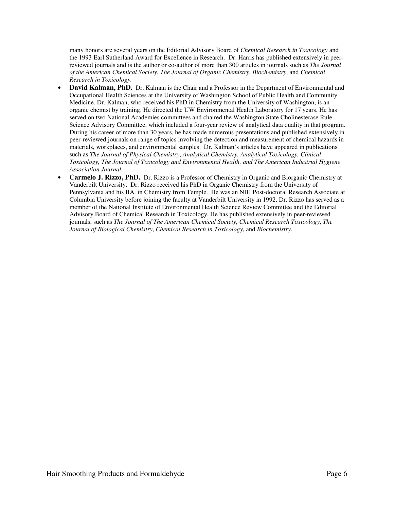many honors are several years on the Editorial Advisory Board of *Chemical Research in Toxicology* and the 1993 Earl Sutherland Award for Excellence in Research. Dr. Harris has published extensively in peerreviewed journals and is the author or co-author of more than 300 articles in journals such as *The Journal of the American Chemical Society*, *The Journal of Organic Chemistry*, *Biochemistry*, and *Chemical Research in Toxicology.* 

- **David Kalman, PhD.** Dr. Kalman is the Chair and a Professor in the Department of Environmental and Occupational Health Sciences at the University of Washington School of Public Health and Community Medicine. Dr. Kalman, who received his PhD in Chemistry from the University of Washington, is an organic chemist by training. He directed the UW Environmental Health Laboratory for 17 years. He has served on two National Academies committees and chaired the Washington State Cholinesterase Rule Science Advisory Committee, which included a four-year review of analytical data quality in that program. During his career of more than 30 years, he has made numerous presentations and published extensively in peer-reviewed journals on range of topics involving the detection and measurement of chemical hazards in materials, workplaces, and environmental samples. Dr. Kalman's articles have appeared in publications such as *The Journal of Physical Chemistry*, *Analytical Chemistry, Analytical Toxicology, Clinical Toxicology, The Journal of Toxicology and Environmental Health, and The American Industrial Hygiene Association Journal.*
- **Carmelo J. Rizzo, PhD.** Dr. Rizzo is a Professor of Chemistry in Organic and Biorganic Chemistry at Vanderbilt University. Dr. Rizzo received his PhD in Organic Chemistry from the University of Pennsylvania and his BA. in Chemistry from Temple. He was an NIH Post-doctoral Research Associate at Columbia University before joining the faculty at Vanderbilt University in 1992. Dr. Rizzo has served as a member of the National Institute of Environmental Health Science Review Committee and the Editorial Advisory Board of Chemical Research in Toxicology. He has published extensively in peer-reviewed journals, such as *The Journal of The American Chemical Society*, *Chemical Research Toxicology*, *The Journal of Biological Chemistry*, *Chemical Research in Toxicology*, and *Biochemistry.*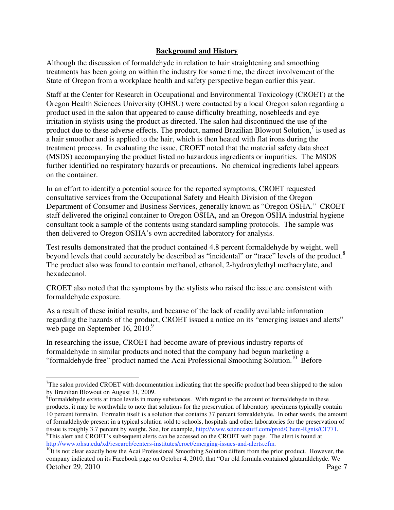## **Background and History**

Although the discussion of formaldehyde in relation to hair straightening and smoothing treatments has been going on within the industry for some time, the direct involvement of the State of Oregon from a workplace health and safety perspective began earlier this year.

Staff at the Center for Research in Occupational and Environmental Toxicology (CROET) at the Oregon Health Sciences University (OHSU) were contacted by a local Oregon salon regarding a product used in the salon that appeared to cause difficulty breathing, nosebleeds and eye irritation in stylists using the product as directed. The salon had discontinued the use of the product due to these adverse effects. The product, named Brazilian Blowout Solution, $\frac{7}{1}$  is used as a hair smoother and is applied to the hair, which is then heated with flat irons during the treatment process. In evaluating the issue, CROET noted that the material safety data sheet (MSDS) accompanying the product listed no hazardous ingredients or impurities. The MSDS further identified no respiratory hazards or precautions. No chemical ingredients label appears on the container.

In an effort to identify a potential source for the reported symptoms, CROET requested consultative services from the Occupational Safety and Health Division of the Oregon Department of Consumer and Business Services, generally known as "Oregon OSHA." CROET staff delivered the original container to Oregon OSHA, and an Oregon OSHA industrial hygiene consultant took a sample of the contents using standard sampling protocols. The sample was then delivered to Oregon OSHA's own accredited laboratory for analysis.

Test results demonstrated that the product contained 4.8 percent formaldehyde by weight, well beyond levels that could accurately be described as "incidental" or "trace" levels of the product.<sup>8</sup> The product also was found to contain methanol, ethanol, 2-hydroxylethyl methacrylate, and hexadecanol.

CROET also noted that the symptoms by the stylists who raised the issue are consistent with formaldehyde exposure.

As a result of these initial results, and because of the lack of readily available information regarding the hazards of the product, CROET issued a notice on its "emerging issues and alerts" web page on September 16, 2010.<sup>9</sup>

In researching the issue, CROET had become aware of previous industry reports of formaldehyde in similar products and noted that the company had begun marketing a "formaldehyde free" product named the Acai Professional Smoothing Solution.10 Before

 $\overline{a}$ 

 $7$ The salon provided CROET with documentation indicating that the specific product had been shipped to the salon by Brazilian Blowout on August 31, 2009.

<sup>&</sup>lt;sup>8</sup>Formaldehyde exists at trace levels in many substances. With regard to the amount of formaldehyde in these products, it may be worthwhile to note that solutions for the preservation of laboratory specimens typically contain 10 percent formalin. Formalin itself is a solution that contains 37 percent formaldehyde. In other words, the amount of formaldehyde present in a typical solution sold to schools, hospitals and other laboratories for the preservation of tissue is roughly 3.7 percent by weight. See, for example, http://www.sciencestuff.com/prod/Chem-Rgnts/C1771. <sup>9</sup>This alert and CROET's subsequent alerts can be accessed on the CROET web page. The alert is found at http://www.ohsu.edu/xd/research/centers-institutes/croet/emerging-issues-and-alerts.cfm.

October 29, 2010 Page 7  $10$ It is not clear exactly how the Acai Professional Smoothing Solution differs from the prior product. However, the company indicated on its Facebook page on October 4, 2010, that "Our old formula contained glutaraldehyde. We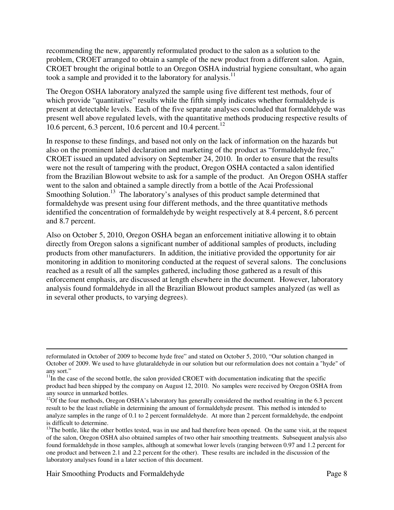recommending the new, apparently reformulated product to the salon as a solution to the problem, CROET arranged to obtain a sample of the new product from a different salon. Again, CROET brought the original bottle to an Oregon OSHA industrial hygiene consultant, who again took a sample and provided it to the laboratory for analysis.<sup>11</sup>

The Oregon OSHA laboratory analyzed the sample using five different test methods, four of which provide "quantitative" results while the fifth simply indicates whether formaldehyde is present at detectable levels. Each of the five separate analyses concluded that formaldehyde was present well above regulated levels, with the quantitative methods producing respective results of 10.6 percent, 6.3 percent, 10.6 percent and 10.4 percent.<sup>12</sup>

In response to these findings, and based not only on the lack of information on the hazards but also on the prominent label declaration and marketing of the product as "formaldehyde free," CROET issued an updated advisory on September 24, 2010. In order to ensure that the results were not the result of tampering with the product, Oregon OSHA contacted a salon identified from the Brazilian Blowout website to ask for a sample of the product. An Oregon OSHA staffer went to the salon and obtained a sample directly from a bottle of the Acai Professional Smoothing Solution.<sup>13</sup> The laboratory's analyses of this product sample determined that formaldehyde was present using four different methods, and the three quantitative methods identified the concentration of formaldehyde by weight respectively at 8.4 percent, 8.6 percent and 8.7 percent.

Also on October 5, 2010, Oregon OSHA began an enforcement initiative allowing it to obtain directly from Oregon salons a significant number of additional samples of products, including products from other manufacturers. In addition, the initiative provided the opportunity for air monitoring in addition to monitoring conducted at the request of several salons. The conclusions reached as a result of all the samples gathered, including those gathered as a result of this enforcement emphasis, are discussed at length elsewhere in the document. However, laboratory analysis found formaldehyde in all the Brazilian Blowout product samples analyzed (as well as in several other products, to varying degrees).

<u>.</u>

reformulated in October of 2009 to become hyde free" and stated on October 5, 2010, "Our solution changed in October of 2009. We used to have glutaraldehyde in our solution but our reformulation does not contain a "hyde" of any sort."

 $11$ In the case of the second bottle, the salon provided CROET with documentation indicating that the specific product had been shipped by the company on August 12, 2010. No samples were received by Oregon OSHA from any source in unmarked bottles.

 $12$ Of the four methods, Oregon OSHA's laboratory has generally considered the method resulting in the 6.3 percent result to be the least reliable in determining the amount of formaldehyde present. This method is intended to analyze samples in the range of 0.1 to 2 percent formaldehyde. At more than 2 percent formaldehyde, the endpoint is difficult to determine.

 $13$ The bottle, like the other bottles tested, was in use and had therefore been opened. On the same visit, at the request of the salon, Oregon OSHA also obtained samples of two other hair smoothing treatments. Subsequent analysis also found formaldehyde in those samples, although at somewhat lower levels (ranging between 0.97 and 1.2 percent for one product and between 2.1 and 2.2 percent for the other). These results are included in the discussion of the laboratory analyses found in a later section of this document.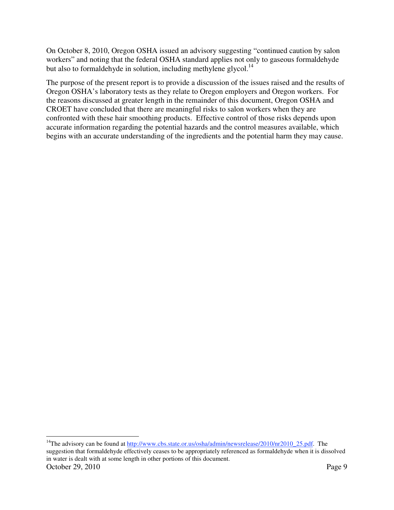On October 8, 2010, Oregon OSHA issued an advisory suggesting "continued caution by salon workers" and noting that the federal OSHA standard applies not only to gaseous formaldehyde but also to formal dehyde in solution, including methylene glycol.<sup>14</sup>

The purpose of the present report is to provide a discussion of the issues raised and the results of Oregon OSHA's laboratory tests as they relate to Oregon employers and Oregon workers. For the reasons discussed at greater length in the remainder of this document, Oregon OSHA and CROET have concluded that there are meaningful risks to salon workers when they are confronted with these hair smoothing products. Effective control of those risks depends upon accurate information regarding the potential hazards and the control measures available, which begins with an accurate understanding of the ingredients and the potential harm they may cause.

October 29, 2010 Page 9  $\overline{a}$ <sup>14</sup>The advisory can be found at http://www.cbs.state.or.us/osha/admin/newsrelease/2010/nr2010\_25.pdf. The suggestion that formaldehyde effectively ceases to be appropriately referenced as formaldehyde when it is dissolved in water is dealt with at some length in other portions of this document.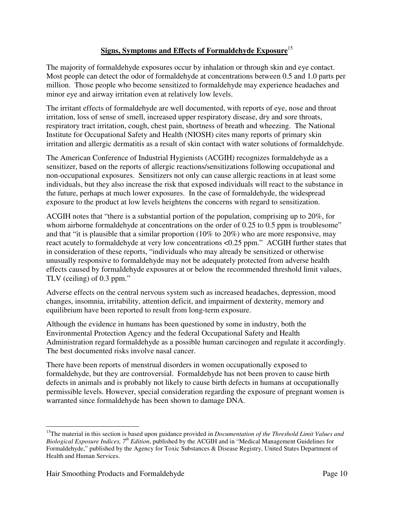## **Signs, Symptoms and Effects of Formaldehyde Exposure**<sup>15</sup>

The majority of formaldehyde exposures occur by inhalation or through skin and eye contact. Most people can detect the odor of formaldehyde at concentrations between 0.5 and 1.0 parts per million. Those people who become sensitized to formaldehyde may experience headaches and minor eye and airway irritation even at relatively low levels.

The irritant effects of formaldehyde are well documented, with reports of eye, nose and throat irritation, loss of sense of smell, increased upper respiratory disease, dry and sore throats, respiratory tract irritation, cough, chest pain, shortness of breath and wheezing. The National Institute for Occupational Safety and Health (NIOSH) cites many reports of primary skin irritation and allergic dermatitis as a result of skin contact with water solutions of formaldehyde.

The American Conference of Industrial Hygienists (ACGIH) recognizes formaldehyde as a sensitizer, based on the reports of allergic reactions/sensitizations following occupational and non-occupational exposures. Sensitizers not only can cause allergic reactions in at least some individuals, but they also increase the risk that exposed individuals will react to the substance in the future, perhaps at much lower exposures. In the case of formaldehyde, the widespread exposure to the product at low levels heightens the concerns with regard to sensitization.

ACGIH notes that "there is a substantial portion of the population, comprising up to 20%, for whom airborne formaldehyde at concentrations on the order of 0.25 to 0.5 ppm is troublesome" and that "it is plausible that a similar proportion (10% to 20%) who are more responsive, may react acutely to formaldehyde at very low concentrations <0.25 ppm." ACGIH further states that in consideration of these reports, "individuals who may already be sensitized or otherwise unusually responsive to formaldehyde may not be adequately protected from adverse health effects caused by formaldehyde exposures at or below the recommended threshold limit values, TLV (ceiling) of 0.3 ppm."

Adverse effects on the central nervous system such as increased headaches, depression, mood changes, insomnia, irritability, attention deficit, and impairment of dexterity, memory and equilibrium have been reported to result from long-term exposure.

Although the evidence in humans has been questioned by some in industry, both the Environmental Protection Agency and the federal Occupational Safety and Health Administration regard formaldehyde as a possible human carcinogen and regulate it accordingly. The best documented risks involve nasal cancer.

There have been reports of menstrual disorders in women occupationally exposed to formaldehyde, but they are controversial. Formaldehyde has not been proven to cause birth defects in animals and is probably not likely to cause birth defects in humans at occupationally permissible levels. However, special consideration regarding the exposure of pregnant women is warranted since formaldehyde has been shown to damage DNA.

 $\overline{a}$ 

<sup>&</sup>lt;sup>15</sup>The material in this section is based upon guidance provided in *Documentation of the Threshold Limit Values and Biological Exposure Indices, 7th Edition*, published by the ACGIH and in "Medical Management Guidelines for Formaldehyde," published by the Agency for Toxic Substances & Disease Registry, United States Department of Health and Human Services.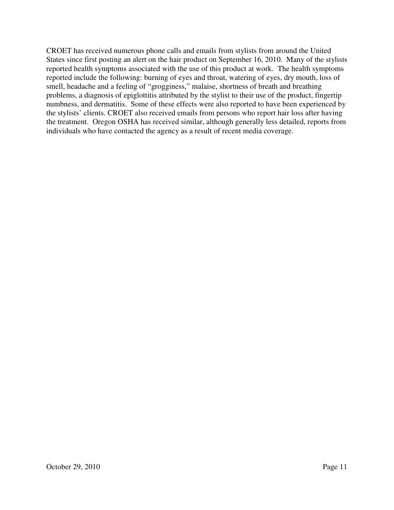CROET has received numerous phone calls and emails from stylists from around the United States since first posting an alert on the hair product on September 16, 2010. Many of the stylists reported health symptoms associated with the use of this product at work. The health symptoms reported include the following: burning of eyes and throat, watering of eyes, dry mouth, loss of smell, headache and a feeling of "grogginess," malaise, shortness of breath and breathing problems, a diagnosis of epiglottitis attributed by the stylist to their use of the product, fingertip numbness, and dermatitis. Some of these effects were also reported to have been experienced by the stylists' clients. CROET also received emails from persons who report hair loss after having the treatment. Oregon OSHA has received similar, although generally less detailed, reports from individuals who have contacted the agency as a result of recent media coverage.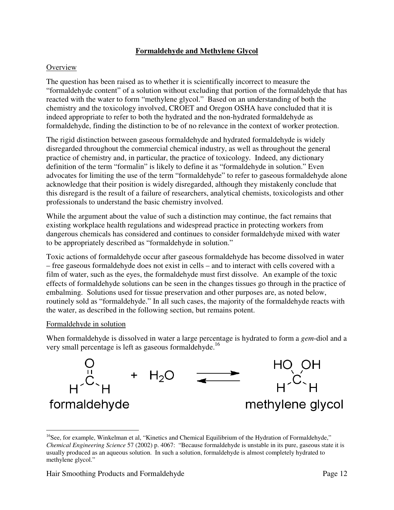## **Formaldehyde and Methylene Glycol**

## **Overview**

The question has been raised as to whether it is scientifically incorrect to measure the "formaldehyde content" of a solution without excluding that portion of the formaldehyde that has reacted with the water to form "methylene glycol." Based on an understanding of both the chemistry and the toxicology involved, CROET and Oregon OSHA have concluded that it is indeed appropriate to refer to both the hydrated and the non-hydrated formaldehyde as formaldehyde, finding the distinction to be of no relevance in the context of worker protection.

The rigid distinction between gaseous formaldehyde and hydrated formaldehyde is widely disregarded throughout the commercial chemical industry, as well as throughout the general practice of chemistry and, in particular, the practice of toxicology. Indeed, any dictionary definition of the term "formalin" is likely to define it as "formaldehyde in solution." Even advocates for limiting the use of the term "formaldehyde" to refer to gaseous formaldehyde alone acknowledge that their position is widely disregarded, although they mistakenly conclude that this disregard is the result of a failure of researchers, analytical chemists, toxicologists and other professionals to understand the basic chemistry involved.

While the argument about the value of such a distinction may continue, the fact remains that existing workplace health regulations and widespread practice in protecting workers from dangerous chemicals has considered and continues to consider formaldehyde mixed with water to be appropriately described as "formaldehyde in solution."

Toxic actions of formaldehyde occur after gaseous formaldehyde has become dissolved in water – free gaseous formaldehyde does not exist in cells – and to interact with cells covered with a film of water, such as the eyes, the formaldehyde must first dissolve. An example of the toxic effects of formaldehyde solutions can be seen in the changes tissues go through in the practice of embalming. Solutions used for tissue preservation and other purposes are, as noted below, routinely sold as "formaldehyde." In all such cases, the majority of the formaldehyde reacts with the water, as described in the following section, but remains potent.

#### Formaldehyde in solution

 $\overline{a}$ 

When formaldehyde is dissolved in water a large percentage is hydrated to form a *gem*-diol and a very small percentage is left as gaseous formaldehyde.<sup>16</sup>



<sup>&</sup>lt;sup>16</sup>See, for example, Winkelman et al, "Kinetics and Chemical Equilibrium of the Hydration of Formaldehyde," *Chemical Engineering Science* 57 (2002) p. 4067: "Because formaldehyde is unstable in its pure, gaseous state it is usually produced as an aqueous solution. In such a solution, formaldehyde is almost completely hydrated to methylene glycol."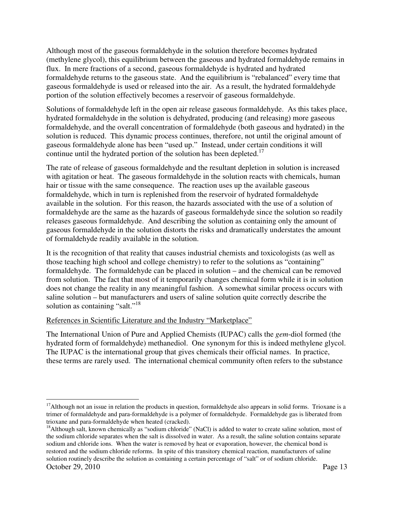Although most of the gaseous formaldehyde in the solution therefore becomes hydrated (methylene glycol), this equilibrium between the gaseous and hydrated formaldehyde remains in flux. In mere fractions of a second, gaseous formaldehyde is hydrated and hydrated formaldehyde returns to the gaseous state. And the equilibrium is "rebalanced" every time that gaseous formaldehyde is used or released into the air. As a result, the hydrated formaldehyde portion of the solution effectively becomes a reservoir of gaseous formaldehyde.

Solutions of formaldehyde left in the open air release gaseous formaldehyde. As this takes place, hydrated formaldehyde in the solution is dehydrated, producing (and releasing) more gaseous formaldehyde, and the overall concentration of formaldehyde (both gaseous and hydrated) in the solution is reduced. This dynamic process continues, therefore, not until the original amount of gaseous formaldehyde alone has been "used up." Instead, under certain conditions it will continue until the hydrated portion of the solution has been depleted.<sup>17</sup>

The rate of release of gaseous formaldehyde and the resultant depletion in solution is increased with agitation or heat. The gaseous formaldehyde in the solution reacts with chemicals, human hair or tissue with the same consequence. The reaction uses up the available gaseous formaldehyde, which in turn is replenished from the reservoir of hydrated formaldehyde available in the solution. For this reason, the hazards associated with the use of a solution of formaldehyde are the same as the hazards of gaseous formaldehyde since the solution so readily releases gaseous formaldehyde. And describing the solution as containing only the amount of gaseous formaldehyde in the solution distorts the risks and dramatically understates the amount of formaldehyde readily available in the solution.

It is the recognition of that reality that causes industrial chemists and toxicologists (as well as those teaching high school and college chemistry) to refer to the solutions as "containing" formaldehyde. The formaldehyde can be placed in solution – and the chemical can be removed from solution. The fact that most of it temporarily changes chemical form while it is in solution does not change the reality in any meaningful fashion. A somewhat similar process occurs with saline solution – but manufacturers and users of saline solution quite correctly describe the solution as containing "salt."<sup>18</sup>

## References in Scientific Literature and the Industry "Marketplace"

The International Union of Pure and Applied Chemists (IUPAC) calls the *gem*-diol formed (the hydrated form of formaldehyde) methanediol. One synonym for this is indeed methylene glycol. The IUPAC is the international group that gives chemicals their official names. In practice, these terms are rarely used. The international chemical community often refers to the substance

 $\overline{a}$ 

 $17$ Although not an issue in relation the products in question, formaldehyde also appears in solid forms. Trioxane is a trimer of formaldehyde and para-formaldehyde is a polymer of formaldehyde. Formaldehyde gas is liberated from<br>trioxane and para-formaldehyde when heated (cracked).

October 29, 2010 Page 13 <sup>18</sup>Although salt, known chemically as "sodium chloride" (NaCl) is added to water to create saline solution, most of the sodium chloride separates when the salt is dissolved in water. As a result, the saline solution contains separate sodium and chloride ions. When the water is removed by heat or evaporation, however, the chemical bond is restored and the sodium chloride reforms. In spite of this transitory chemical reaction, manufacturers of saline solution routinely describe the solution as containing a certain percentage of "salt" or of sodium chloride.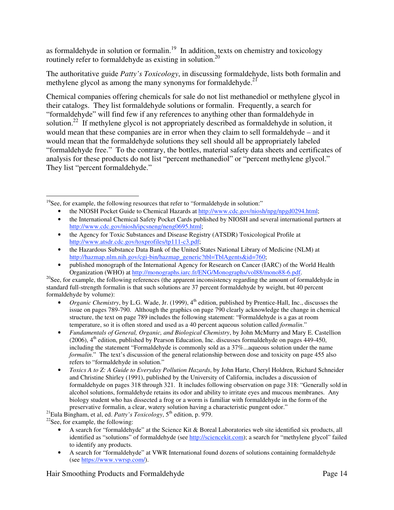as formaldehyde in solution or formalin.<sup>19</sup> In addition, texts on chemistry and toxicology routinely refer to formaldehyde as existing in solution.<sup>20</sup>

The authoritative guide *Patty's Toxicology*, in discussing formaldehyde, lists both formalin and methylene glycol as among the many synonyms for formaldehyde.<sup>21</sup>

Chemical companies offering chemicals for sale do not list methanediol or methylene glycol in their catalogs. They list formaldehyde solutions or formalin. Frequently, a search for "formaldehyde" will find few if any references to anything other than formaldehyde in solution.<sup>22</sup> If methylene glycol is not appropriately described as formaldehyde in solution, it would mean that these companies are in error when they claim to sell formaldehyde – and it would mean that the formaldehyde solutions they sell should all be appropriately labeled "formaldehyde free." To the contrary, the bottles, material safety data sheets and certificates of analysis for these products do not list "percent methanediol" or "percent methylene glycol." They list "percent formaldehyde."

- the NIOSH Pocket Guide to Chemical Hazards at http://www.cdc.gov/niosh/npg/npgd0294.html;
- the International Chemical Safety Pocket Cards published by NIOSH and several international partners at http://www.cdc.gov/niosh/ipcsneng/neng0695.html;
- the Agency for Toxic Substances and Disease Registry (ATSDR) Toxicological Profile at http://www.atsdr.cdc.gov/toxprofiles/tp111-c3.pdf;
- the Hazardous Substance Data Bank of the United States National Library of Medicine (NLM) at http://hazmap.nlm.nih.gov/cgi-bin/hazmap\_generic?tbl=TblAgents&id=760;
- published monograph of the International Agency for Research on Cancer (IARC) of the World Health<br>Organization (WHO) at http://monographs.iarc.fr/ENG/Monographs/vol88/mono88-6.pdf.

 $^{20}$ See, for example, the following references (the apparent inconsistency regarding the amount of formaldehyde in standard full-strength formalin is that such solutions are 37 percent formaldehyde by weight, but 40 percent formaldehyde by volume):

- *Organic Chemistry*, by L.G. Wade, Jr. (1999), 4<sup>th</sup> edition, published by Prentice-Hall, Inc., discusses the issue on pages 789-790. Although the graphics on page 790 clearly acknowledge the change in chemical structure, the text on page 789 includes the following statement: "Formaldehyde is a gas at room temperature, so it is often stored and used as a 40 percent aqueous solution called *formalin*."
- *Fundamentals of General, Organic, and Biological Chemistry*, by John McMurry and Mary E. Castellion (2006), 4th edition, published by Pearson Education, Inc. discusses formaldehyde on pages 449-450, including the statement "Formaldehyde is commonly sold as a 37%...aqueous solution under the name *formalin*." The text's discussion of the general relationship between dose and toxicity on page 455 also refers to "formaldehyde in solution."
- *Toxics A to Z: A Guide to Everyday Pollution Hazards*, by John Harte, Cheryl Holdren, Richard Schneider and Christine Shirley (1991), published by the University of California, includes a discussion of formaldehyde on pages 318 through 321. It includes following observation on page 318: "Generally sold in alcohol solutions, formaldehyde retains its odor and ability to irritate eyes and mucous membranes. Any biology student who has dissected a frog or a worm is familiar with formaldehyde in the form of the preservative formalin, a clear, watery solution having a characteristic pungent odor." <sup>21</sup>Eula Bingham, et al, ed. *Patty's Toxicology*, 5<sup>th</sup> edition, p. 979. <sup>22</sup>See, for example, the following:

- A search for "formaldehyde" at the Science Kit & Boreal Laboratories web site identified six products, all identified as "solutions" of formaldehyde (see http://sciencekit.com); a search for "methylene glycol" failed to identify any products.
- A search for "formaldehyde" at VWR International found dozens of solutions containing formaldehyde (see https://www.vwrsp.com/).

Hair Smoothing Products and Formaldehyde **Page 14** Page 14

 $\overline{a}$  $19$ See, for example, the following resources that refer to "formaldehyde in solution:"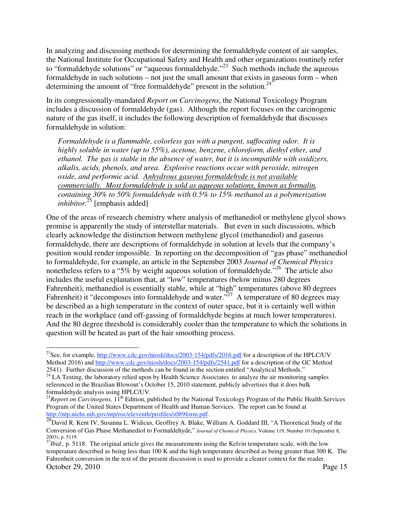In analyzing and discussing methods for determining the formaldehyde content of air samples, the National Institute for Occupational Safety and Health and other organizations routinely refer to "formaldehyde solutions" or "aqueous formaldehyde."<sup>23</sup> Such methods include the aqueous formaldehyde in such solutions – not just the small amount that exists in gaseous form – when determining the amount of "free formaldehyde" present in the solution. $^{24}$ 

In its congressionally-mandated *Report on Carcinogens*, the National Toxicology Program includes a discussion of formaldehyde (gas). Although the report focuses on the carcinogenic nature of the gas itself, it includes the following description of formaldehyde that discusses formaldehyde in solution:

*Formaldehyde is a flammable, colorless gas with a pungent, suffocating odor. It is highly soluble in water (up to 55%), acetone, benzene, chloroform, diethyl ether, and ethanol. The gas is stable in the absence of water, but it is incompatible with oxidizers, alkalis, acids, phenols, and urea. Explosive reactions occur with peroxide, nitrogen oxide, and performic acid. Anhydrous gaseous formaldehyde is not available commercially. Most formaldehyde is sold as aqueous solutions, known as formalin, containing 30% to 50% formaldehyde with 0.5% to 15% methanol as a polymerization inhibitor.*<sup>25</sup> [emphasis added]

One of the areas of research chemistry where analysis of methanediol or methylene glycol shows promise is apparently the study of interstellar materials. But even in such discussions, which clearly acknowledge the distinction between methylene glycol (methanediol) and gaseous formaldehyde, there are descriptions of formaldehyde in solution at levels that the company's position would render impossible. In reporting on the decomposition of "gas phase" methanediol to formaldehyde, for example, an article in the September 2003 *Journal of Chemical Physics* nonetheless refers to a "5% by weight aqueous solution of formaldehyde.<sup>526</sup> The article also includes the useful explanation that, at "low" temperatures (below minus 280 degrees Fahrenheit), methanediol is essentially stable, while at "high" temperatures (above 80 degrees Fahrenheit) it "decomposes into formaldehyde and water."<sup>27</sup> A temperature of 80 degrees may be described as a high temperature in the context of outer space, but it is certainly well within reach in the workplace (and off-gassing of formaldehyde begins at much lower temperatures). And the 80 degree threshold is considerably cooler than the temperature to which the solutions in question will be heated as part of the hair smoothing process.

 $\overline{a}$ <sup>23</sup>See, for example,  $\frac{http://www.cdc.gov/niosh/docs/2003-154/pdfs/2016.pdf}{http://www.cdc.gov/niosh/docs/2003-154/pdfs/2016.pdf}$  for a description of the HPLC/UV Method 2016) and http://www.cdc.gov/niosh/docs/2003-154/pdfs/2541.pdf for a description of the GC Method 2541). Further discussion of the methods can be found in the section entitled "Analytical Methods."

 $2541$ ). Further discussion of the methods can be found in the section entitled the section entitled  $24$  LA Testing, the laboratory relied upon by Health Science Associates to analyze the air monitoring samples referenced in the Brazilian Blowout's October 15, 2010 statement, publicly advertises that it does bulk formaldehyde analysis using HPLC/UV.

<sup>&</sup>lt;sup>25</sup>*Report on Carcinogens*, 11<sup>th</sup> Edition, published by the National Toxicology Program of the Public Health Services Program of the United States Department of Health and Human Services. The report can be found at http://ntp.niehs.nih.gov/ntp/roc/eleventh/profiles/s089form.pdf.

http://ntp.niehs.nie/eleventh/profiles/solid R. Kent IV, Susanna L. Widicus, Geoffrey A. Blake, William A. Goddard III, "A Theoretical Study of the Conversion of Gas Phase Methanediol to Formaldehyde," *Journal of Chemical Physics,* Volume 119, Number 10 (September 8, 2003), p. 5119.

October 29, 2010 Page 15 <sup>27</sup>*Ibid.*, p. 5118. The original article gives the measurements using the Kelvin temperature scale, with the low temperature described as being less than 100 K and the high temperature described as being greater than 300 K. The Fahrenheit conversion in the text of the present discussion is used to provide a clearer context for the reader.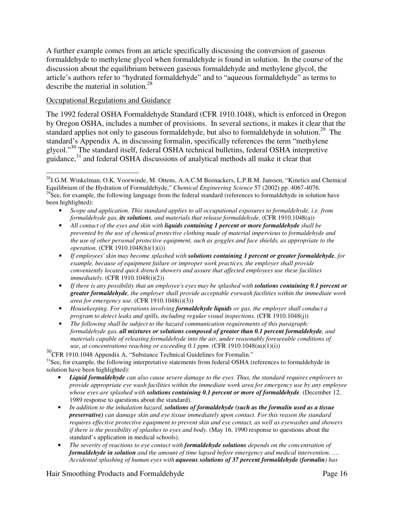A further example comes from an article specifically discussing the conversion of gaseous formaldehyde to methylene glycol when formaldehyde is found in solution. In the course of the discussion about the equilibrium between gaseous formaldehyde and methylene glycol, the article's authors refer to "hydrated formaldehyde" and to "aqueous formaldehyde" as terms to describe the material in solution.<sup>28</sup>

## Occupational Regulations and Guidance

The 1992 federal OSHA Formaldehyde Standard (CFR 1910.1048), which is enforced in Oregon by Oregon OSHA, includes a number of provisions. In several sections, it makes it clear that the standard applies not only to gaseous formaldehyde, but also to formaldehyde in solution.<sup>29</sup> The standard's Appendix A, in discussing formalin, specifically references the term "methylene glycol."30 The standard itself, federal OSHA technical bulletins, federal OSHA interpretive guidance,31 and federal OSHA discussions of analytical methods all make it clear that

<sup>30</sup>CFR 1910.1048 Appendix A, "Substance Technical Guidelines for Formalin." <sup>31</sup>See, for example, the following interpretative statements from federal OSHA (references to formaldehyde in solution have been highlighted):

- *Liquid formaldehyde can also cause severe damage to the eyes. Thus, the standard requires employers to provide appropriate eye wash facilities within the immediate work area for emergency use by any employee whose eyes are splashed with solutions containing 0.1 percent or more of formaldehyde.* (December 12, 1989 response to questions about the standard).
- *In addition to the inhalation hazard, solutions of formaldehyde (such as the formalin used as a tissue preservative) can damage skin and eye tissue immediately upon contact. For this reason the standard requires effective protective equipment to prevent skin and eye contact, as well as eyewashes and showers if there is the possibility of splashes to eyes and body.* (May 16, 1990 response to questions about the standard's application in medical schools).
- *The severity of reactions to eye contact with formaldehyde solutions depends on the concentration of formaldehyde in solution and the amount of time lapsed before emergency and medical intervention. …. Accidental splashing of human eyes with aqueous solutions of 37 percent formaldehyde (formalin) has*

Hair Smoothing Products and Formaldehyde **Page 16** Page 16

 $\overline{a}$ <sup>28</sup>J.G.M. Winkelman, O.K. Voorwinde, M. Ottens, A.A.C.M Beenackers, L.P.B.M. Janssen, "Kinetics and Chemical Equilibrium of the Hydration of Formaldehyde," *Chemical Engineering Science* 57 (2002) pp. 4067-4076.  $^{29}$ See, for example, the following language from the federal standard (references to formaldehyde in solution have been highlighted):

<sup>•</sup> *Scope and application. This standard applies to all occupational exposures to formaldehyde, i.e. from formaldehyde gas, its solutions, and materials that release formaldehyde.* (CFR 1910.1048(a))

<sup>•</sup> *All contact of the eyes and skin with liquids containing 1 percent or more formaldehyde shall be prevented by the use of chemical protective clothing made of material impervious to formaldehyde and the use of other personal protective equipment, such as goggles and face shields, as appropriate to the operation.* (CFR 1910.1048(h)(1)(i))

<sup>•</sup> *If employees' skin may become splashed with solutions containing 1 percent or greater formaldehyde, for example, because of equipment failure or improper work practices, the employer shall provide conveniently located quick drench showers and assure that affected employees use these facilities immediately.* (CFR 1910.1048(i)(2))

<sup>•</sup> If there is any possibility that an employee's eyes may be splashed with **solutions containing 0.1 percent or** *greater formaldehyde, the employer shall provide acceptable eyewash facilities within the immediate work area for emergency use.* (CFR 1910.1048(i)(3))

<sup>•</sup> *Housekeeping. For operations involving formaldehyde liquids or gas, the employer shall conduct a program to detect leaks and spills, including regular visual inspections.* (CFR 1910.1048(j))

<sup>•</sup> *The following shall be subject to the hazard communication requirements of this paragraph: formaldehyde gas, all mixtures or solutions composed of greater than 0.1 percent formaldehyde, and materials capable of releasing formaldehyde into the air, under reasonably foreseeable conditions of use, at concentrations reaching or exceeding 0.1 ppm.* (CFR 1910.1048(m)(1)(i))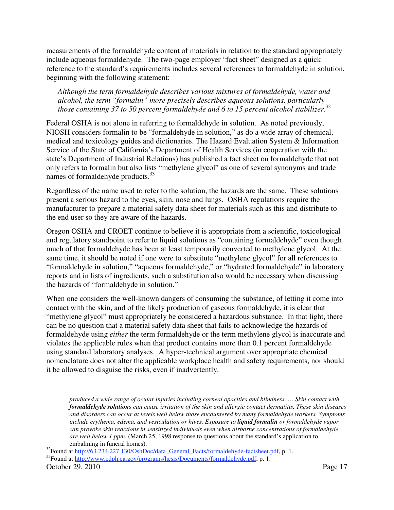measurements of the formaldehyde content of materials in relation to the standard appropriately include aqueous formaldehyde. The two-page employer "fact sheet" designed as a quick reference to the standard's requirements includes several references to formaldehyde in solution, beginning with the following statement:

*Although the term formaldehyde describes various mixtures of formaldehyde, water and alcohol, the term "formalin" more precisely describes aqueous solutions, particularly those containing 37 to 50 percent formaldehyde and 6 to 15 percent alcohol stabilizer.*<sup>32</sup>

Federal OSHA is not alone in referring to formaldehyde in solution. As noted previously, NIOSH considers formalin to be "formaldehyde in solution," as do a wide array of chemical, medical and toxicology guides and dictionaries. The Hazard Evaluation System & Information Service of the State of California's Department of Health Services (in cooperation with the state's Department of Industrial Relations) has published a fact sheet on formaldehyde that not only refers to formalin but also lists "methylene glycol" as one of several synonyms and trade names of formaldehyde products.<sup>33</sup>

Regardless of the name used to refer to the solution, the hazards are the same. These solutions present a serious hazard to the eyes, skin, nose and lungs. OSHA regulations require the manufacturer to prepare a material safety data sheet for materials such as this and distribute to the end user so they are aware of the hazards.

Oregon OSHA and CROET continue to believe it is appropriate from a scientific, toxicological and regulatory standpoint to refer to liquid solutions as "containing formaldehyde" even though much of that formaldehyde has been at least temporarily converted to methylene glycol. At the same time, it should be noted if one were to substitute "methylene glycol" for all references to "formaldehyde in solution," "aqueous formaldehyde," or "hydrated formaldehyde" in laboratory reports and in lists of ingredients, such a substitution also would be necessary when discussing the hazards of "formaldehyde in solution."

When one considers the well-known dangers of consuming the substance, of letting it come into contact with the skin, and of the likely production of gaseous formaldehyde, it is clear that "methylene glycol" must appropriately be considered a hazardous substance. In that light, there can be no question that a material safety data sheet that fails to acknowledge the hazards of formaldehyde using *either* the term formaldehyde or the term methylene glycol is inaccurate and violates the applicable rules when that product contains more than 0.1 percent formaldehyde using standard laboratory analyses. A hyper-technical argument over appropriate chemical nomenclature does not alter the applicable workplace health and safety requirements, nor should it be allowed to disguise the risks, even if inadvertently.

-

*produced a wide range of ocular injuries including corneal opacities and blindness. ….Skin contact with formaldehyde solutions can cause irritation of the skin and allergic contact dermatitis. These skin diseases and disorders can occur at levels well below those encountered by many formaldehyde workers. Symptoms include erythema, edema, and vesiculation or hives. Exposure to liquid formalin or formaldehyde vapor can provoke skin reactions in sensitized individuals even when airborne concentrations of formaldehyde are well below 1 ppm.* (March 25, 1998 response to questions about the standard's application to

<sup>&</sup>lt;sup>32</sup>Found at http://63.234.227.130/OshDoc/data\_General\_Facts/formaldehyde-factsheet.pdf, p. 1.  $^{33}$ Found at http://www.cdph.ca.gov/programs/hesis/Documents/formaldehyde.pdf, p. 1.

October 29, 2010 Page 17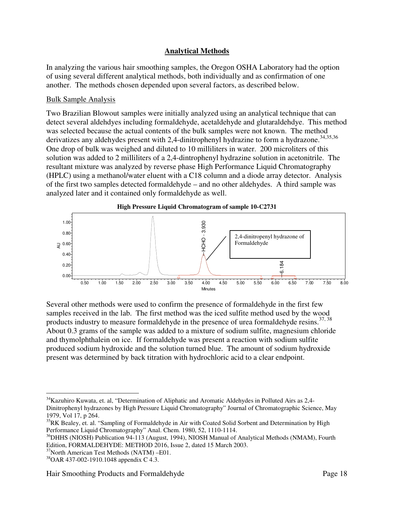## **Analytical Methods**

In analyzing the various hair smoothing samples, the Oregon OSHA Laboratory had the option of using several different analytical methods, both individually and as confirmation of one another. The methods chosen depended upon several factors, as described below.

## Bulk Sample Analysis

Two Brazilian Blowout samples were initially analyzed using an analytical technique that can detect several aldehdyes including formaldehyde, acetaldehyde and glutaraldehdye. This method was selected because the actual contents of the bulk samples were not known. The method derivatizes any aldehydes present with 2,4-dinitrophenyl hydrazine to form a hydrazone.<sup>34,35,36</sup> One drop of bulk was weighed and diluted to 10 milliliters in water. 200 microliters of this solution was added to 2 milliliters of a 2,4-dintrophenyl hydrazine solution in acetonitrile. The resultant mixture was analyzed by reverse phase High Performance Liquid Chromatography (HPLC) using a methanol/water eluent with a C18 column and a diode array detector. Analysis of the first two samples detected formaldehyde – and no other aldehydes. A third sample was analyzed later and it contained only formaldehyde as well.



Several other methods were used to confirm the presence of formaldehyde in the first few samples received in the lab. The first method was the iced sulfite method used by the wood products industry to measure formaldehyde in the presence of urea formaldehyde resins.<sup>37, 38</sup> About 0.3 grams of the sample was added to a mixture of sodium sulfite, magnesium chloride and thymolphthalein on ice. If formaldehyde was present a reaction with sodium sulfite produced sodium hydroxide and the solution turned blue. The amount of sodium hydroxide present was determined by back titration with hydrochloric acid to a clear endpoint.  $R^2$ <br>  $0.40$ <br>  $0.20$ <br>  $0.00$ <br>  $0.50$ <br>  $0.50$ <br>  $0.50$ <br>  $0.50$ <br>  $0.50$ <br>  $0.50$ <br>  $0.50$ <br>  $0.50$ <br>  $0.50$ <br>  $0.50$ <br>  $0.50$ <br>  $0.50$ <br>  $0.50$ <br>  $0.50$ <br>  $0.50$ <br>  $0.50$ <br>  $0.50$ <br>  $0.50$ <br>  $0.50$ <br>  $0.50$ <br>  $0.50$ <br>  $0.50$ <br>  $0.50$ <br>  $0.50$ 

 $\overline{a}$ <sup>34</sup>Kazuhiro Kuwata, et. al, "Determination of Aliphatic and Aromatic Aldehydes in Polluted Airs as 2,4-Dinitrophenyl hydrazones by High Pressure Liquid Chromatography" Journal of Chromatographic Science, May 1979, Vol 17, p 264.

<sup>&</sup>lt;sup>35</sup>RK Bealey, et. al. "Sampling of Formaldehyde in Air with Coated Solid Sorbent and Determination by High Performance Liquid Chromatography" Anal. Chem. 1980, 52, 1110-1114.

<sup>&</sup>lt;sup>36</sup>DHHS (NIOSH) Publication 94-113 (August, 1994), NIOSH Manual of Analytical Methods (NMAM), Fourth Edition, FORMALDEHYDE: METHOD 2016, Issue 2, dated 15 March 2003.<br><sup>37</sup>North American Test Methods (NATM) –E01.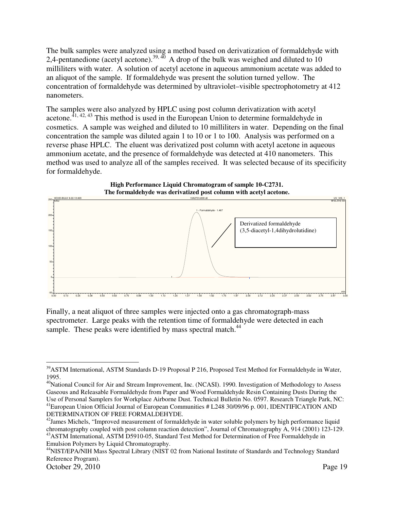The bulk samples were analyzed using a method based on derivatization of formaldehyde with 2,4-pentanedione (acetyl acetone).<sup>39, 40</sup> A drop of the bulk was weighed and diluted to 10 milliliters with water. A solution of acetyl acetone in aqueous ammonium acetate was added to an aliquot of the sample. If formaldehyde was present the solution turned yellow. The concentration of formaldehyde was determined by ultraviolet–visible spectrophotometry at 412 nanometers.

The samples were also analyzed by HPLC using post column derivatization with acetyl  $\frac{41}{41,42,43}$  This method is used in the European Union to determine formaldehyde in cosmetics. A sample was weighed and diluted to 10 milliliters in water. Depending on the final concentration the sample was diluted again 1 to 10 or 1 to 100. Analysis was performed on a reverse phase HPLC. The eluent was derivatized post column with acetyl acetone in aqueous ammonium acetate, and the presence of formaldehyde was detected at 410 nanometers. This method was used to analyze all of the samples received. It was selected because of its specificity for formaldehyde.



Finally, a neat aliquot of three samples were injected onto a gas chromatograph-mass spectrometer. Large peaks with the retention time of formaldehyde were detected in each sample. These peaks were identified by mass spectral match.<sup>44</sup>

 $\overline{a}$ <sup>39</sup>ASTM International, ASTM Standards D-19 Proposal P 216, Proposed Test Method for Formaldehyde in Water, 1995.

<sup>&</sup>lt;sup>40</sup>National Council for Air and Stream Improvement, Inc. (NCASI). 1990. Investigation of Methodology to Assess Gaseous and Releasable Formaldehyde from Paper and Wood Formaldehyde Resin Containing Dusts During the Use of Personal Samplers for Workplace Airborne Dust. Technical Bulletin No. 0597. Research Triangle Park, NC: 41European Union Official Journal of European Communities # L248 30/09/96 p. 001, IDENTIFICATION AND DETERMINATION OF FREE FORMALDEHYDE.

<sup>&</sup>lt;sup>42</sup> James Michels, "Improved measurement of formaldehyde in water soluble polymers by high performance liquid chromatography coupled with post column reaction detection", Journal of Chromatography A, 914 (2001) 123-129. <sup>43</sup> ASTM International, ASTM D5910-05, Standard Test Method for Determination of Free Formal dehyde in Emulsion Polymers by Liquid Chromatography.

<sup>44</sup>NIST/EPA/NIH Mass Spectral Library (NIST 02 from National Institute of Standards and Technology Standard Reference Program).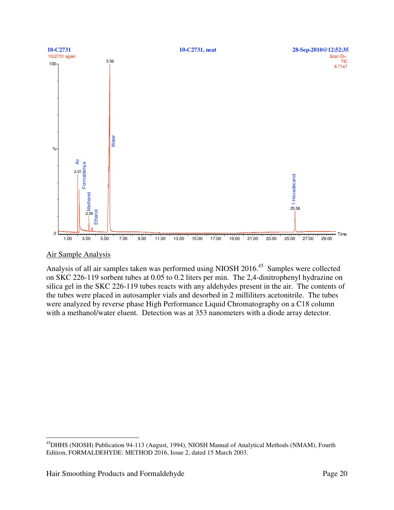

#### Air Sample Analysis

 $\overline{a}$ 

Analysis of all air samples taken was performed using NIOSH 2016.45 Samples were collected on SKC 226-119 sorbent tubes at 0.05 to 0.2 liters per min. The 2,4-dinitrophenyl hydrazine on silica gel in the SKC 226-119 tubes reacts with any aldehydes present in the air. The contents of the tubes were placed in autosampler vials and desorbed in 2 milliliters acetonitrile. The tubes were analyzed by reverse phase High Performance Liquid Chromatography on a C18 column with a methanol/water eluent. Detection was at 353 nanometers with a diode array detector.

<sup>&</sup>lt;sup>45</sup>DHHS (NIOSH) Publication 94-113 (August, 1994), NIOSH Manual of Analytical Methods (NMAM), Fourth Edition, FORMALDEHYDE: METHOD 2016, Issue 2, dated 15 March 2003.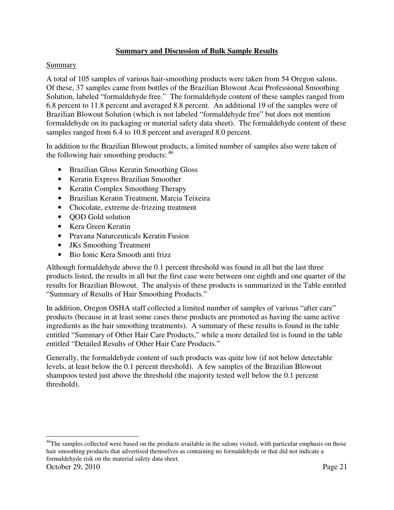## **Summary and Discussion of Bulk Sample Results**

## Summary

A total of 105 samples of various hair-smoothing products were taken from 54 Oregon salons. Of these, 37 samples came from bottles of the Brazilian Blowout Acai Professional Smoothing Solution, labeled "formaldehyde free." The formaldehyde content of these samples ranged from 6.8 percent to 11.8 percent and averaged 8.8 percent. An additional 19 of the samples were of Brazilian Blowout Solution (which is not labeled "formaldehyde free" but does not mention formaldehyde on its packaging or material safety data sheet). The formaldehyde content of these samples ranged from 6.4 to 10.8 percent and averaged 8.0 percent.

In addition to the Brazilian Blowout products, a limited number of samples also were taken of the following hair smoothing products:  $46$ 

- Brazilian Gloss Keratin Smoothing Gloss
- Keratin Express Brazilian Smoother
- Keratin Complex Smoothing Therapy
- Brazilian Keratin Treatment, Marcia Teixeira
- Chocolate, extreme de-frizzing treatment
- **OOD** Gold solution
- Kera Green Keratin
- Pravana Naturceuticals Keratin Fusion
- JKs Smoothing Treatment
- Bio Ionic Kera Smooth anti frizz

Although formaldehyde above the 0.1 percent threshold was found in all but the last three products listed, the results in all but the first case were between one eighth and one quarter of the results for Brazilian Blowout. The analysis of these products is summarized in the Table entitled "Summary of Results of Hair Smoothing Products."

In addition, Oregon OSHA staff collected a limited number of samples of various "after care" products (because in at least some cases these products are promoted as having the same active ingredients as the hair smoothing treatments). A summary of these results is found in the table entitled "Summary of Other Hair Care Products," while a more detailed list is found in the table entitled "Detailed Results of Other Hair Care Products."

Generally, the formaldehyde content of such products was quite low (if not below detectable levels, at least below the 0.1 percent threshold). A few samples of the Brazilian Blowout shampoos tested just above the threshold (the majority tested well below the 0.1 percent threshold).

October 29, 2010 Page 21  $\overline{a}$ <sup>46</sup>The samples collected were based on the products available in the salons visited, with particular emphasis on those hair smoothing products that advertised themselves as containing no formaldehyde or that did not indicate a formaldehyde risk on the material safety data sheet.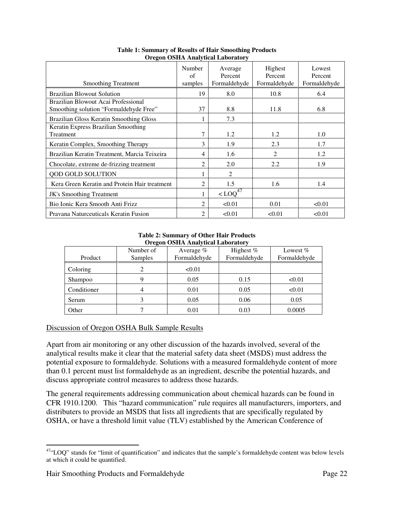| <b>Smoothing Treatment</b>                                                    | Number<br>of<br>samples | Average<br>Percent<br>Formaldehyde               | Highest<br>Percent<br>Formaldehyde | Lowest<br>Percent<br>Formaldehyde |
|-------------------------------------------------------------------------------|-------------------------|--------------------------------------------------|------------------------------------|-----------------------------------|
| <b>Brazilian Blowout Solution</b>                                             | 19                      | 8.0                                              | 10.8                               | 6.4                               |
| Brazilian Blowout Acai Professional<br>Smoothing solution "Formaldehyde Free" | 37                      | 8.8                                              | 11.8                               | 6.8                               |
| Brazilian Gloss Keratin Smoothing Gloss                                       |                         | 7.3                                              |                                    |                                   |
| Keratin Express Brazilian Smoothing<br>Treatment                              | 7                       | 1.2                                              | 1.2                                | 1.0                               |
| Keratin Complex, Smoothing Therapy                                            | 3                       | 1.9                                              | 2.3                                | 1.7                               |
| Brazilian Keratin Treatment, Marcia Teixeira                                  | 4                       | 1.6                                              | $\mathfrak{D}$                     | 1.2                               |
| Chocolate, extreme de-frizzing treatment                                      | $\overline{2}$          | 2.0                                              | 2.2                                | 1.9                               |
| QOD GOLD SOLUTION                                                             |                         | 2                                                |                                    |                                   |
| Kera Green Keratin and Protein Hair treatment                                 | 2                       | 1.5                                              | 1.6                                | 1.4                               |
| JK's Smoothing Treatment                                                      |                         | $\leq$ LOQ <sup><math>\overline{47}</math></sup> |                                    |                                   |
| Bio Ionic Kera Smooth Anti Frizz                                              | $\mathfrak{D}$          | < 0.01                                           | 0.01                               | < 0.01                            |
| Pravana Naturceuticals Keratin Fusion                                         | $\overline{2}$          | < 0.01                                           | < 0.01                             | < 0.01                            |

**Table 1: Summary of Results of Hair Smoothing Products Oregon OSHA Analytical Laboratory** 

#### **Table 2: Summary of Other Hair Products Oregon OSHA Analytical Laboratory**

| Oregon Obini Tinarytical Eaborator |           |              |              |              |  |  |
|------------------------------------|-----------|--------------|--------------|--------------|--|--|
|                                    | Number of | Average $%$  | Highest %    | Lowest $%$   |  |  |
| Product                            | Samples   | Formaldehyde | Formaldehyde | Formaldehyde |  |  |
| Coloring                           | 2         | < 0.01       |              |              |  |  |
| Shampoo                            |           | 0.05         | 0.15         | < 0.01       |  |  |
| Conditioner                        | 4         | 0.01         | 0.05         | < 0.01       |  |  |
| Serum                              |           | 0.05         | 0.06         | 0.05         |  |  |
| Other                              |           | 0.01         | 0.03         | 0.0005       |  |  |

## Discussion of Oregon OSHA Bulk Sample Results

Apart from air monitoring or any other discussion of the hazards involved, several of the analytical results make it clear that the material safety data sheet (MSDS) must address the potential exposure to formaldehyde. Solutions with a measured formaldehyde content of more than 0.1 percent must list formaldehyde as an ingredient, describe the potential hazards, and discuss appropriate control measures to address those hazards.

The general requirements addressing communication about chemical hazards can be found in CFR 1910.1200. This "hazard communication" rule requires all manufacturers, importers, and distributers to provide an MSDS that lists all ingredients that are specifically regulated by OSHA, or have a threshold limit value (TLV) established by the American Conference of

 $\overline{a}$  $47$ "LOQ" stands for "limit of quantification" and indicates that the sample's formaldehyde content was below levels at which it could be quantified.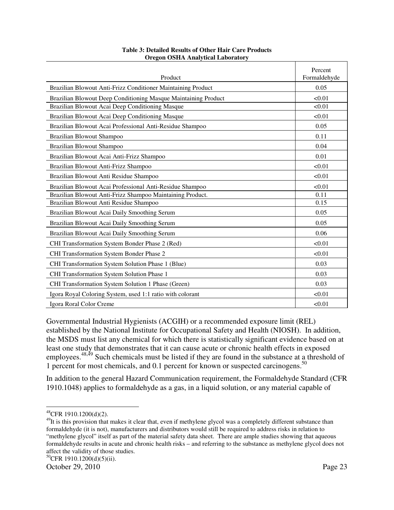| Product                                                        | Percent<br>Formaldehyde |
|----------------------------------------------------------------|-------------------------|
| Brazilian Blowout Anti-Frizz Conditioner Maintaining Product   | 0.05                    |
| Brazilian Blowout Deep Conditioning Masque Maintaining Product | < 0.01                  |
| Brazilian Blowout Acai Deep Conditioning Masque                | < 0.01                  |
| Brazilian Blowout Acai Deep Conditioning Masque                | < 0.01                  |
| Brazilian Blowout Acai Professional Anti-Residue Shampoo       | 0.05                    |
| Brazilian Blowout Shampoo                                      | 0.11                    |
| <b>Brazilian Blowout Shampoo</b>                               | 0.04                    |
| Brazilian Blowout Acai Anti-Frizz Shampoo                      | 0.01                    |
| Brazilian Blowout Anti-Frizz Shampoo                           | < 0.01                  |
| Brazilian Blowout Anti Residue Shampoo                         | < 0.01                  |
| Brazilian Blowout Acai Professional Anti-Residue Shampoo       | < 0.01                  |
| Brazilian Blowout Anti-Frizz Shampoo Maintaining Product.      | 0.11                    |
| Brazilian Blowout Anti Residue Shampoo                         | 0.15                    |
| Brazilian Blowout Acai Daily Smoothing Serum                   | 0.05                    |
| Brazilian Blowout Acai Daily Smoothing Serum                   | 0.05                    |
| Brazilian Blowout Acai Daily Smoothing Serum                   | 0.06                    |
| CHI Transformation System Bonder Phase 2 (Red)                 | < 0.01                  |
| CHI Transformation System Bonder Phase 2                       | < 0.01                  |
| CHI Transformation System Solution Phase 1 (Blue)              | 0.03                    |
| CHI Transformation System Solution Phase 1                     | 0.03                    |
| CHI Transformation System Solution 1 Phase (Green)             | 0.03                    |
| Igora Royal Coloring System, used 1:1 ratio with colorant      | < 0.01                  |
| Igora Roral Color Creme                                        | < 0.01                  |

#### **Table 3: Detailed Results of Other Hair Care Products Oregon OSHA Analytical Laboratory**

Governmental Industrial Hygienists (ACGIH) or a recommended exposure limit (REL) established by the National Institute for Occupational Safety and Health (NIOSH). In addition, the MSDS must list any chemical for which there is statistically significant evidence based on at least one study that demonstrates that it can cause acute or chronic health effects in exposed employees.<sup>48,49</sup> Such chemicals must be listed if they are found in the substance at a threshold of 1 percent for most chemicals, and 0.1 percent for known or suspected carcinogens.50

In addition to the general Hazard Communication requirement, the Formaldehyde Standard (CFR 1910.1048) applies to formaldehyde as a gas, in a liquid solution, or any material capable of

 $\overline{a}$  $^{48}$ CFR 1910.1200(d)(2).

<sup>&</sup>lt;sup>49</sup>It is this provision that makes it clear that, even if methylene glycol was a completely different substance than formaldehyde (it is not), manufacturers and distributors would still be required to address risks in relation to "methylene glycol" itself as part of the material safety data sheet. There are ample studies showing that aqueous formaldehyde results in acute and chronic health risks – and referring to the substance as methylene glycol does not affect the validity of those studies.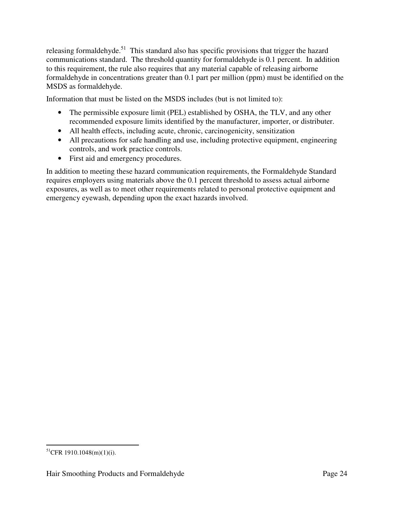releasing formaldehyde.<sup>51</sup> This standard also has specific provisions that trigger the hazard communications standard. The threshold quantity for formaldehyde is 0.1 percent. In addition to this requirement, the rule also requires that any material capable of releasing airborne formaldehyde in concentrations greater than 0.1 part per million (ppm) must be identified on the MSDS as formaldehyde.

Information that must be listed on the MSDS includes (but is not limited to):

- The permissible exposure limit (PEL) established by OSHA, the TLV, and any other recommended exposure limits identified by the manufacturer, importer, or distributer.
- All health effects, including acute, chronic, carcinogenicity, sensitization
- All precautions for safe handling and use, including protective equipment, engineering controls, and work practice controls.
- First aid and emergency procedures.

In addition to meeting these hazard communication requirements, the Formaldehyde Standard requires employers using materials above the 0.1 percent threshold to assess actual airborne exposures, as well as to meet other requirements related to personal protective equipment and emergency eyewash, depending upon the exact hazards involved.

 $\overline{a}$  $^{51}$ CFR 1910.1048(m)(1)(i).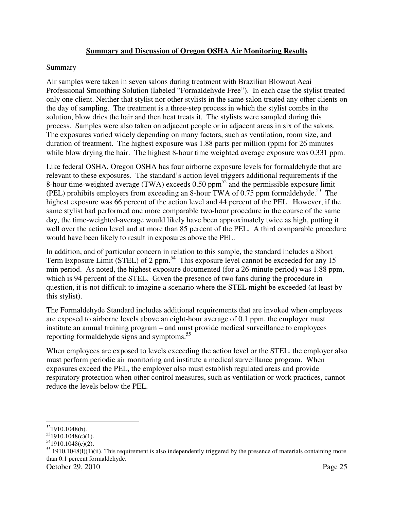## **Summary and Discussion of Oregon OSHA Air Monitoring Results**

#### Summary

Air samples were taken in seven salons during treatment with Brazilian Blowout Acai Professional Smoothing Solution (labeled "Formaldehyde Free"). In each case the stylist treated only one client. Neither that stylist nor other stylists in the same salon treated any other clients on the day of sampling. The treatment is a three-step process in which the stylist combs in the solution, blow dries the hair and then heat treats it. The stylists were sampled during this process. Samples were also taken on adjacent people or in adjacent areas in six of the salons. The exposures varied widely depending on many factors, such as ventilation, room size, and duration of treatment. The highest exposure was 1.88 parts per million (ppm) for 26 minutes while blow drying the hair. The highest 8-hour time weighted average exposure was 0.331 ppm.

Like federal OSHA, Oregon OSHA has four airborne exposure levels for formaldehyde that are relevant to these exposures. The standard's action level triggers additional requirements if the 8-hour time-weighted average (TWA) exceeds 0.50 ppm<sup>52</sup> and the permissible exposure limit (PEL) prohibits employers from exceeding an 8-hour TWA of  $0.75$  ppm formaldehyde.<sup>53</sup> The highest exposure was 66 percent of the action level and 44 percent of the PEL. However, if the same stylist had performed one more comparable two-hour procedure in the course of the same day, the time-weighted-average would likely have been approximately twice as high, putting it well over the action level and at more than 85 percent of the PEL. A third comparable procedure would have been likely to result in exposures above the PEL.

In addition, and of particular concern in relation to this sample, the standard includes a Short Term Exposure Limit (STEL) of 2 ppm.<sup>54</sup> This exposure level cannot be exceeded for any 15 min period. As noted, the highest exposure documented (for a 26-minute period) was 1.88 ppm, which is 94 percent of the STEL. Given the presence of two fans during the procedure in question, it is not difficult to imagine a scenario where the STEL might be exceeded (at least by this stylist).

The Formaldehyde Standard includes additional requirements that are invoked when employees are exposed to airborne levels above an eight-hour average of 0.1 ppm, the employer must institute an annual training program – and must provide medical surveillance to employees reporting formaldehyde signs and symptoms.<sup>55</sup>

When employees are exposed to levels exceeding the action level or the STEL, the employer also must perform periodic air monitoring and institute a medical surveillance program. When exposures exceed the PEL, the employer also must establish regulated areas and provide respiratory protection when other control measures, such as ventilation or work practices, cannot reduce the levels below the PEL.

October 29, 2010 Page 25

 $\overline{a}$  $52$ 1910.1048(b).

 $531910.1048(c)(1)$ .

 $541910.1048(c)(2)$ .

 $55$  1910.1048(l)(1)(ii). This requirement is also independently triggered by the presence of materials containing more than 0.1 percent formaldehyde.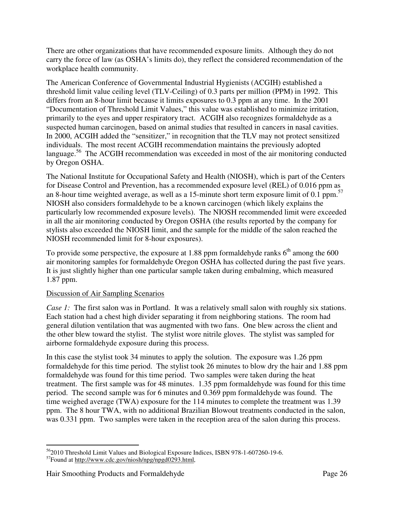There are other organizations that have recommended exposure limits. Although they do not carry the force of law (as OSHA's limits do), they reflect the considered recommendation of the workplace health community.

The American Conference of Governmental Industrial Hygienists (ACGIH) established a threshold limit value ceiling level (TLV-Ceiling) of 0.3 parts per million (PPM) in 1992. This differs from an 8-hour limit because it limits exposures to 0.3 ppm at any time. In the 2001 "Documentation of Threshold Limit Values," this value was established to minimize irritation, primarily to the eyes and upper respiratory tract. ACGIH also recognizes formaldehyde as a suspected human carcinogen, based on animal studies that resulted in cancers in nasal cavities. In 2000, ACGIH added the "sensitizer," in recognition that the TLV may not protect sensitized individuals. The most recent ACGIH recommendation maintains the previously adopted language.<sup>56</sup> The ACGIH recommendation was exceeded in most of the air monitoring conducted by Oregon OSHA.

The National Institute for Occupational Safety and Health (NIOSH), which is part of the Centers for Disease Control and Prevention, has a recommended exposure level (REL) of 0.016 ppm as an 8-hour time weighted average, as well as a 15-minute short term exposure limit of 0.1 ppm.57 NIOSH also considers formaldehyde to be a known carcinogen (which likely explains the particularly low recommended exposure levels). The NIOSH recommended limit were exceeded in all the air monitoring conducted by Oregon OSHA (the results reported by the company for stylists also exceeded the NIOSH limit, and the sample for the middle of the salon reached the NIOSH recommended limit for 8-hour exposures).

To provide some perspective, the exposure at 1.88 ppm formaldehyde ranks  $6<sup>th</sup>$  among the 600 air monitoring samples for formaldehyde Oregon OSHA has collected during the past five years. It is just slightly higher than one particular sample taken during embalming, which measured 1.87 ppm.

## Discussion of Air Sampling Scenarios

*Case 1:* The first salon was in Portland. It was a relatively small salon with roughly six stations. Each station had a chest high divider separating it from neighboring stations. The room had general dilution ventilation that was augmented with two fans. One blew across the client and the other blew toward the stylist. The stylist wore nitrile gloves. The stylist was sampled for airborne formaldehyde exposure during this process.

In this case the stylist took 34 minutes to apply the solution. The exposure was 1.26 ppm formaldehyde for this time period. The stylist took 26 minutes to blow dry the hair and 1.88 ppm formaldehyde was found for this time period. Two samples were taken during the heat treatment. The first sample was for 48 minutes. 1.35 ppm formaldehyde was found for this time period. The second sample was for 6 minutes and 0.369 ppm formaldehyde was found. The time weighed average (TWA) exposure for the 114 minutes to complete the treatment was 1.39 ppm. The 8 hour TWA, with no additional Brazilian Blowout treatments conducted in the salon, was 0.331 ppm. Two samples were taken in the reception area of the salon during this process.

 $\overline{a}$ <sup>56</sup>2010 Threshold Limit Values and Biological Exposure Indices, ISBN 978-1-607260-19-6.

<sup>57</sup>Found at http://www.cdc.gov/niosh/npg/npgd0293.html,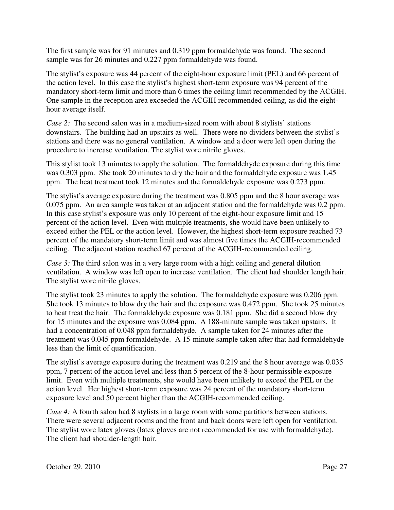The first sample was for 91 minutes and 0.319 ppm formaldehyde was found. The second sample was for 26 minutes and 0.227 ppm formaldehyde was found.

The stylist's exposure was 44 percent of the eight-hour exposure limit (PEL) and 66 percent of the action level. In this case the stylist's highest short-term exposure was 94 percent of the mandatory short-term limit and more than 6 times the ceiling limit recommended by the ACGIH. One sample in the reception area exceeded the ACGIH recommended ceiling, as did the eighthour average itself.

*Case 2:* The second salon was in a medium-sized room with about 8 stylists' stations downstairs. The building had an upstairs as well. There were no dividers between the stylist's stations and there was no general ventilation. A window and a door were left open during the procedure to increase ventilation. The stylist wore nitrile gloves.

This stylist took 13 minutes to apply the solution. The formaldehyde exposure during this time was 0.303 ppm. She took 20 minutes to dry the hair and the formaldehyde exposure was 1.45 ppm. The heat treatment took 12 minutes and the formaldehyde exposure was 0.273 ppm.

The stylist's average exposure during the treatment was 0.805 ppm and the 8 hour average was 0.075 ppm. An area sample was taken at an adjacent station and the formaldehyde was 0.2 ppm. In this case stylist's exposure was only 10 percent of the eight-hour exposure limit and 15 percent of the action level. Even with multiple treatments, she would have been unlikely to exceed either the PEL or the action level. However, the highest short-term exposure reached 73 percent of the mandatory short-term limit and was almost five times the ACGIH-recommended ceiling. The adjacent station reached 67 percent of the ACGIH-recommended ceiling.

*Case 3:* The third salon was in a very large room with a high ceiling and general dilution ventilation. A window was left open to increase ventilation. The client had shoulder length hair. The stylist wore nitrile gloves.

The stylist took 23 minutes to apply the solution. The formaldehyde exposure was 0.206 ppm. She took 13 minutes to blow dry the hair and the exposure was 0.472 ppm. She took 25 minutes to heat treat the hair. The formaldehyde exposure was 0.181 ppm. She did a second blow dry for 15 minutes and the exposure was 0.084 ppm. A 188-minute sample was taken upstairs. It had a concentration of 0.048 ppm formaldehyde. A sample taken for 24 minutes after the treatment was 0.045 ppm formaldehyde. A 15-minute sample taken after that had formaldehyde less than the limit of quantification.

The stylist's average exposure during the treatment was 0.219 and the 8 hour average was 0.035 ppm, 7 percent of the action level and less than 5 percent of the 8-hour permissible exposure limit. Even with multiple treatments, she would have been unlikely to exceed the PEL or the action level. Her highest short-term exposure was 24 percent of the mandatory short-term exposure level and 50 percent higher than the ACGIH-recommended ceiling.

*Case 4:* A fourth salon had 8 stylists in a large room with some partitions between stations. There were several adjacent rooms and the front and back doors were left open for ventilation. The stylist wore latex gloves (latex gloves are not recommended for use with formaldehyde). The client had shoulder-length hair.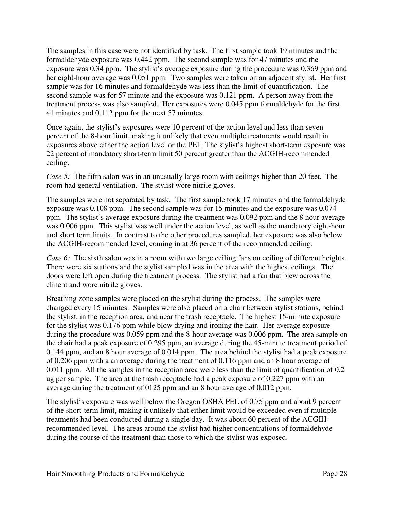The samples in this case were not identified by task. The first sample took 19 minutes and the formaldehyde exposure was 0.442 ppm. The second sample was for 47 minutes and the exposure was 0.34 ppm. The stylist's average exposure during the procedure was 0.369 ppm and her eight-hour average was 0.051 ppm. Two samples were taken on an adjacent stylist. Her first sample was for 16 minutes and formaldehyde was less than the limit of quantification. The second sample was for 57 minute and the exposure was 0.121 ppm. A person away from the treatment process was also sampled. Her exposures were 0.045 ppm formaldehyde for the first 41 minutes and 0.112 ppm for the next 57 minutes.

Once again, the stylist's exposures were 10 percent of the action level and less than seven percent of the 8-hour limit, making it unlikely that even multiple treatments would result in exposures above either the action level or the PEL. The stylist's highest short-term exposure was 22 percent of mandatory short-term limit 50 percent greater than the ACGIH-recommended ceiling.

*Case 5:* The fifth salon was in an unusually large room with ceilings higher than 20 feet. The room had general ventilation. The stylist wore nitrile gloves.

The samples were not separated by task. The first sample took 17 minutes and the formaldehyde exposure was 0.108 ppm. The second sample was for 15 minutes and the exposure was 0.074 ppm. The stylist's average exposure during the treatment was 0.092 ppm and the 8 hour average was 0.006 ppm. This stylist was well under the action level, as well as the mandatory eight-hour and short term limits. In contrast to the other procedures sampled, her exposure was also below the ACGIH-recommended level, coming in at 36 percent of the recommended ceiling.

*Case 6:* The sixth salon was in a room with two large ceiling fans on ceiling of different heights. There were six stations and the stylist sampled was in the area with the highest ceilings. The doors were left open during the treatment process. The stylist had a fan that blew across the clinent and wore nitrile gloves.

Breathing zone samples were placed on the stylist during the process. The samples were changed every 15 minutes. Samples were also placed on a chair between stylist stations, behind the stylist, in the reception area, and near the trash receptacle. The highest 15-minute exposure for the stylist was 0.176 ppm while blow drying and ironing the hair. Her average exposure during the procedure was 0.059 ppm and the 8-hour average was 0.006 ppm. The area sample on the chair had a peak exposure of 0.295 ppm, an average during the 45-minute treatment period of 0.144 ppm, and an 8 hour average of 0.014 ppm. The area behind the stylist had a peak exposure of 0.206 ppm with a an average during the treatment of 0.116 ppm and an 8 hour average of 0.011 ppm. All the samples in the reception area were less than the limit of quantification of 0.2 ug per sample. The area at the trash receptacle had a peak exposure of 0.227 ppm with an average during the treatment of 0125 ppm and an 8 hour average of 0.012 ppm.

The stylist's exposure was well below the Oregon OSHA PEL of 0.75 ppm and about 9 percent of the short-term limit, making it unlikely that either limit would be exceeded even if multiple treatments had been conducted during a single day. It was about 60 percent of the ACGIHrecommended level. The areas around the stylist had higher concentrations of formaldehyde during the course of the treatment than those to which the stylist was exposed.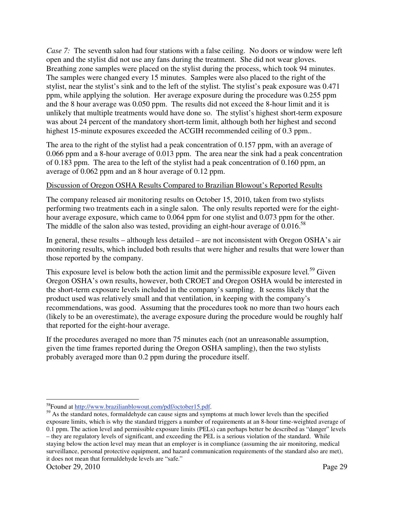*Case 7:* The seventh salon had four stations with a false ceiling. No doors or window were left open and the stylist did not use any fans during the treatment. She did not wear gloves. Breathing zone samples were placed on the stylist during the process, which took 94 minutes. The samples were changed every 15 minutes. Samples were also placed to the right of the stylist, near the stylist's sink and to the left of the stylist. The stylist's peak exposure was 0.471 ppm, while applying the solution. Her average exposure during the procedure was 0.255 ppm and the 8 hour average was 0.050 ppm. The results did not exceed the 8-hour limit and it is unlikely that multiple treatments would have done so. The stylist's highest short-term exposure was about 24 percent of the mandatory short-term limit, although both her highest and second highest 15-minute exposures exceeded the ACGIH recommended ceiling of 0.3 ppm..

The area to the right of the stylist had a peak concentration of 0.157 ppm, with an average of 0.066 ppm and a 8-hour average of 0.013 ppm. The area near the sink had a peak concentration of 0.183 ppm. The area to the left of the stylist had a peak concentration of 0.160 ppm, an average of 0.062 ppm and an 8 hour average of 0.12 ppm.

#### Discussion of Oregon OSHA Results Compared to Brazilian Blowout's Reported Results

The company released air monitoring results on October 15, 2010, taken from two stylists performing two treatments each in a single salon. The only results reported were for the eighthour average exposure, which came to 0.064 ppm for one stylist and 0.073 ppm for the other. The middle of the salon also was tested, providing an eight-hour average of  $0.016$ <sup>58</sup>

In general, these results – although less detailed – are not inconsistent with Oregon OSHA's air monitoring results, which included both results that were higher and results that were lower than those reported by the company.

This exposure level is below both the action limit and the permissible exposure level.<sup>59</sup> Given Oregon OSHA's own results, however, both CROET and Oregon OSHA would be interested in the short-term exposure levels included in the company's sampling. It seems likely that the product used was relatively small and that ventilation, in keeping with the company's recommendations, was good. Assuming that the procedures took no more than two hours each (likely to be an overestimate), the average exposure during the procedure would be roughly half that reported for the eight-hour average.

If the procedures averaged no more than 75 minutes each (not an unreasonable assumption, given the time frames reported during the Oregon OSHA sampling), then the two stylists probably averaged more than 0.2 ppm during the procedure itself.

 $\overline{a}$ 

<sup>&</sup>lt;sup>58</sup>Found at <u>http://www.brazilianblowout.com/pdf/october15.pdf</u>.<br><sup>59</sup> As the standard notes, formaldehyde can cause signs and symptoms at much lower levels than the specified exposure limits, which is why the standard triggers a number of requirements at an 8-hour time-weighted average of 0.1 ppm. The action level and permissible exposure limits (PELs) can perhaps better be described as "danger" levels – they are regulatory levels of significant, and exceeding the PEL is a serious violation of the standard. While staying below the action level may mean that an employer is in compliance (assuming the air monitoring, medical surveillance, personal protective equipment, and hazard communication requirements of the standard also are met), it does not mean that formaldehyde levels are "safe."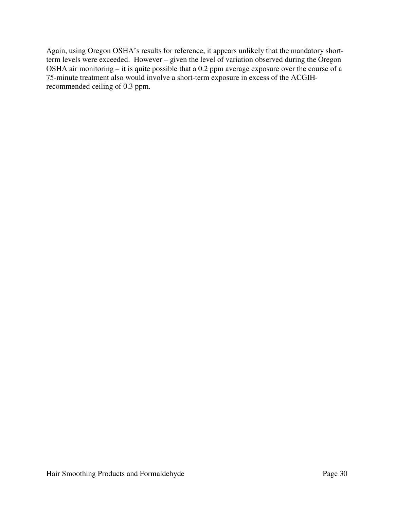Again, using Oregon OSHA's results for reference, it appears unlikely that the mandatory shortterm levels were exceeded. However – given the level of variation observed during the Oregon OSHA air monitoring – it is quite possible that a 0.2 ppm average exposure over the course of a 75-minute treatment also would involve a short-term exposure in excess of the ACGIHrecommended ceiling of 0.3 ppm.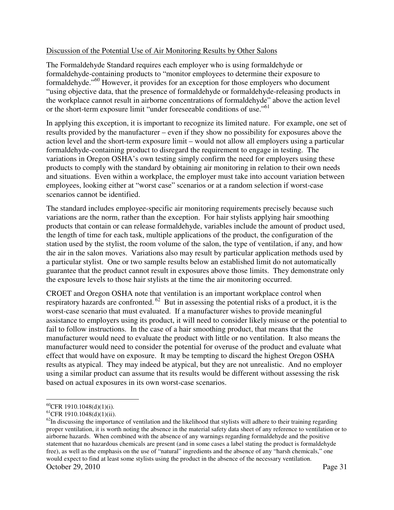## Discussion of the Potential Use of Air Monitoring Results by Other Salons

The Formaldehyde Standard requires each employer who is using formaldehyde or formaldehyde-containing products to "monitor employees to determine their exposure to formaldehyde."60 However, it provides for an exception for those employers who document "using objective data, that the presence of formaldehyde or formaldehyde-releasing products in the workplace cannot result in airborne concentrations of formaldehyde" above the action level or the short-term exposure limit "under foreseeable conditions of use."61

In applying this exception, it is important to recognize its limited nature. For example, one set of results provided by the manufacturer – even if they show no possibility for exposures above the action level and the short-term exposure limit – would not allow all employers using a particular formaldehyde-containing product to disregard the requirement to engage in testing. The variations in Oregon OSHA's own testing simply confirm the need for employers using these products to comply with the standard by obtaining air monitoring in relation to their own needs and situations. Even within a workplace, the employer must take into account variation between employees, looking either at "worst case" scenarios or at a random selection if worst-case scenarios cannot be identified.

The standard includes employee-specific air monitoring requirements precisely because such variations are the norm, rather than the exception. For hair stylists applying hair smoothing products that contain or can release formaldehyde, variables include the amount of product used, the length of time for each task, multiple applications of the product, the configuration of the station used by the stylist, the room volume of the salon, the type of ventilation, if any, and how the air in the salon moves. Variations also may result by particular application methods used by a particular stylist. One or two sample results below an established limit do not automatically guarantee that the product cannot result in exposures above those limits. They demonstrate only the exposure levels to those hair stylists at the time the air monitoring occurred.

CROET and Oregon OSHA note that ventilation is an important workplace control when respiratory hazards are confronted. 62 But in assessing the potential risks of a product, it is the worst-case scenario that must evaluated. If a manufacturer wishes to provide meaningful assistance to employers using its product, it will need to consider likely misuse or the potential to fail to follow instructions. In the case of a hair smoothing product, that means that the manufacturer would need to evaluate the product with little or no ventilation. It also means the manufacturer would need to consider the potential for overuse of the product and evaluate what effect that would have on exposure. It may be tempting to discard the highest Oregon OSHA results as atypical. They may indeed be atypical, but they are not unrealistic. And no employer using a similar product can assume that its results would be different without assessing the risk based on actual exposures in its own worst-case scenarios.

 $\overline{a}$  $^{60}$ CFR 1910.1048(d)(1)(i).

 $^{61}$ CFR 1910.1048(d)(1)(ii).

October 29, 2010 Page 31  $62$ In discussing the importance of ventilation and the likelihood that stylists will adhere to their training regarding proper ventilation, it is worth noting the absence in the material safety data sheet of any reference to ventilation or to airborne hazards. When combined with the absence of any warnings regarding formaldehyde and the positive statement that no hazardous chemicals are present (and in some cases a label stating the product is formaldehyde free), as well as the emphasis on the use of "natural" ingredients and the absence of any "harsh chemicals," one would expect to find at least some stylists using the product in the absence of the necessary ventilation.